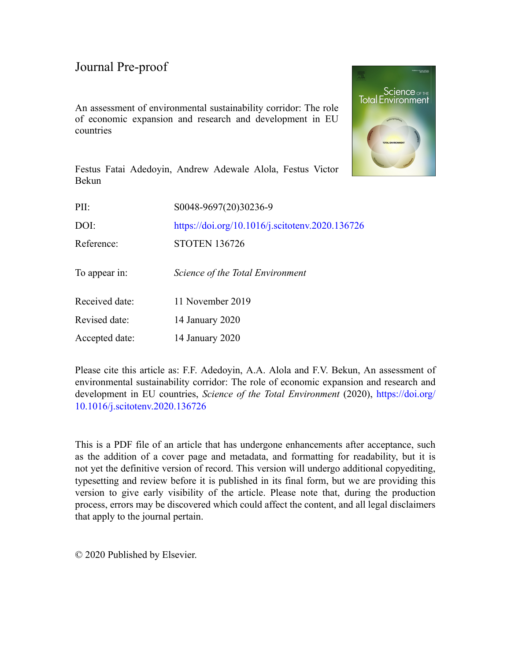An assessment of environmental sustainability corridor: The role of economic expansion and research and development in EU countries



Festus Fatai Adedoyin, Andrew Adewale Alola, Festus Victor Bekun

| PII:           | S0048-9697(20)30236-9                           |
|----------------|-------------------------------------------------|
| DOI:           | https://doi.org/10.1016/j.scitotenv.2020.136726 |
| Reference:     | <b>STOTEN 136726</b>                            |
| To appear in:  | Science of the Total Environment                |
| Received date: | 11 November 2019                                |
| Revised date:  | 14 January 2020                                 |
| Accepted date: | 14 January 2020                                 |
|                |                                                 |

Please cite this article as: F.F. Adedoyin, A.A. Alola and F.V. Bekun, An assessment of environmental sustainability corridor: The role of economic expansion and research and development in EU countries, *Science of the Total Environment* (2020), [https://doi.org/](https://doi.org/10.1016/j.scitotenv.2020.136726) [10.1016/j.scitotenv.2020.136726](https://doi.org/10.1016/j.scitotenv.2020.136726)

This is a PDF file of an article that has undergone enhancements after acceptance, such as the addition of a cover page and metadata, and formatting for readability, but it is not yet the definitive version of record. This version will undergo additional copyediting, typesetting and review before it is published in its final form, but we are providing this version to give early visibility of the article. Please note that, during the production process, errors may be discovered which could affect the content, and all legal disclaimers that apply to the journal pertain.

© 2020 Published by Elsevier.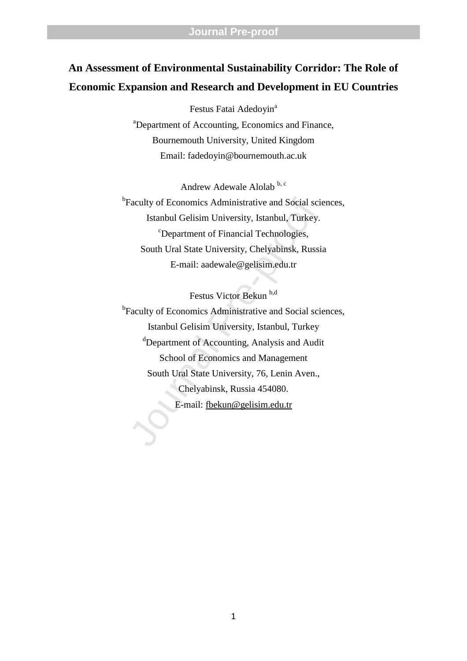# **An Assessment of Environmental Sustainability Corridor: The Role of Economic Expansion and Research and Development in EU Countries**

Festus Fatai Adedoyin<sup>a</sup> <sup>a</sup>Department of Accounting, Economics and Finance, Bournemouth University, United Kingdom Email: fadedoyin@bournemouth.ac.uk

Andrew Adewale Alolab b, c <sup>b</sup>Faculty of Economics Administrative and Social sciences, Istanbul Gelisim University, Istanbul, Turkey. <sup>c</sup>Department of Financial Technologies, South Ural State University, Chelyabinsk, Russia E-mail: aadewale@gelisim.edu.tr

Festus Victor Bekun b,d

Faculty of Economics Administrative and Social scince Istanbul Gelisim University, Istanbul, Turkey.<br>
"Department of Financial Technologies,<br>
South Ural State University, Chelyabinsk, Russi<br>
E-mail: aadewale@gelisim.edu.t <sup>b</sup>Faculty of Economics Administrative and Social sciences, Istanbul Gelisim University, Istanbul, Turkey <sup>d</sup>Department of Accounting, Analysis and Audit School of Economics and Management South Ural State University, 76, Lenin Aven., Chelyabinsk, Russia 454080. E-mail: fbekun@gelisim.edu.tr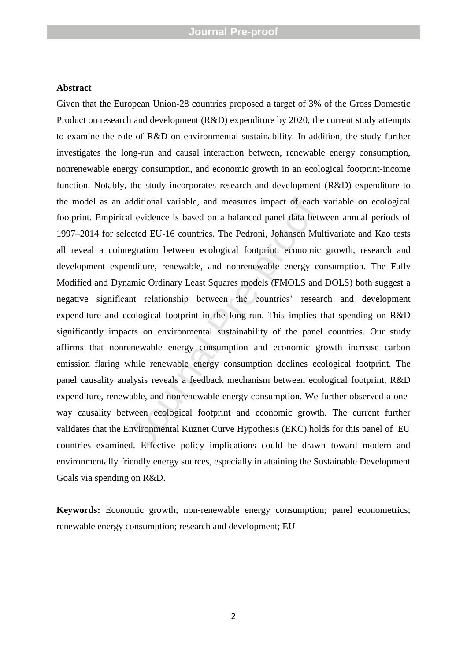#### **Abstract**

dditional variable, and measures impact of each<br>al evidence is based on a balanced panel data betweeted EU-16 countries. The Pedroni, Johansen Mu<br>egration between ecological footprint, economic<br>miditure, renewable, and non Given that the European Union -28 countries proposed a target of 3% of the Gross Domestic Product on research and development (R&D) expenditure by 2020, the current study attempts to examine the role of R&D on environmental sustainability. In addition, the study further investigates the long-run and causal interaction between, renewable energy consumption, nonrenewable energy consumption, and economic growth in a n ecological footprint -income function. Notably, the study incorporates research and development (R&D) expenditure to the model as an additional variable, and measures impact of each variable on ecological footprint. Empirical evidence is based on a balanced panel data between annual periods of 199 7 –2014 for selected EU -16 countries. The Pedroni, Johansen Multivariate and Kao tests all reveal a cointegration between ecological footprint, economic growth, research and development expenditure, renewable, and nonrenewable energy consumption. The Fully Modified and Dynamic Ordinary Least Squares model s (FMOLS and DOLS) both suggest a negative significant relationship between the countries' research and development expenditure and ecological footprint in the long -run. This implies that spending on R&D significantly impacts on environmental sustainability of the panel countries. Our study affirms that nonrenewable energy consumption and economic growth increase carbon emission flaring while renewable energy consumption declines ecological footprint. The panel causality analysis reveals a feedback mechanism between ecological footprint, R&D expenditure, renewable, and nonrenewable energy consumption. We further observed a oneway causality between ecological footprint and economic growth. The current further validates that the Environmental Kuznet Curve Hypothesis (EKC) holds for this panel of EU countries examined. Effective policy implications could be drawn toward modern and environmentally friendly energy sources, especially in attaining the Sustainable Development Goals via spending on R&D .

Keywords: Economic growth; non-renewable energy consumption; panel econometrics; renewable energy consumption; research and development; EU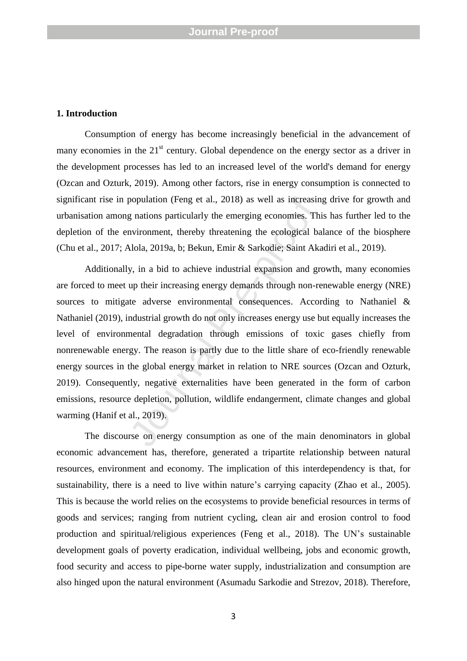#### **1. Introduction**

Consumption of energy has become increasingly beneficial in the advancement of many economies in the  $21<sup>st</sup>$  century. Global dependence on the energy sector as a driver in the development processes has led to an increased level of the world's demand for energy (Ozcan and Ozturk, 2019) . Among other factors, rise in energy consumption is connected to significant rise in population (Feng et al., 2018) as well as increasing drive for growth and urbanisation among nations particularly the emerging economies. This has further led to the depletion of the environment, thereby threatening the ecological balance of the biosphere (Chu et al., 2017; Alola, 2019a, b; Bekun, Emir & Sarkodie; Saint Akadiri et al., 2019 ) .

population (Feng et al., 2018) as well as increasing<br>g nations particularly the emerging economies. Thinvironment, thereby threatening the ecological ba<br>Mola, 2019a, b; Bekun, Emir & Sarkodie; Saint Aka<br>y, in a bid to achi Additionally, in a bid to achieve industrial expansion and growth, many economies are forced to meet up their increasing energy demands through non -renewable energy (NRE) sources to mitigate adverse environmental consequences . According to Nathaniel & Nathaniel (2019) , industrial growth do not only increases energy use but equally increases the level of environmental degradation through emissions of toxic gases chiefly from nonrenewable energy. The reason is partly due to the little share of eco -friendly renewable energy sources in the global energy market in relation to NRE sources (Ozcan and Ozturk, 2019). Consequently, negative externalities have been generated in the form of carbon emissions, resource depletion, pollution, wildlife endangerment, climate changes and global warming (Hanif et al., 2019).

The discourse on energy consumption as one of the main denominators in global economic advancement has , therefore, generated a tripartite relationship between natural resources, environment and economy. The implication of this interdependency is that, for sustainability, there is a need to live within nature's carrying capacity (Zhao et al., 2005). This is because the world relies on the ecosystems to provide beneficial resources in terms of goods and services; ranging from nutrient cycling, clean air and erosion control to food production and spiritual/religious experiences (Feng et al., 2018). The UN's sustainable development goals of poverty eradication, individual wellbeing, jobs and economic growth, food security and access to pipe -borne water supply, industrialization and consumption are also hinged upon the natural environment (Asumadu Sarkodie and Strezov, 2018). Therefore,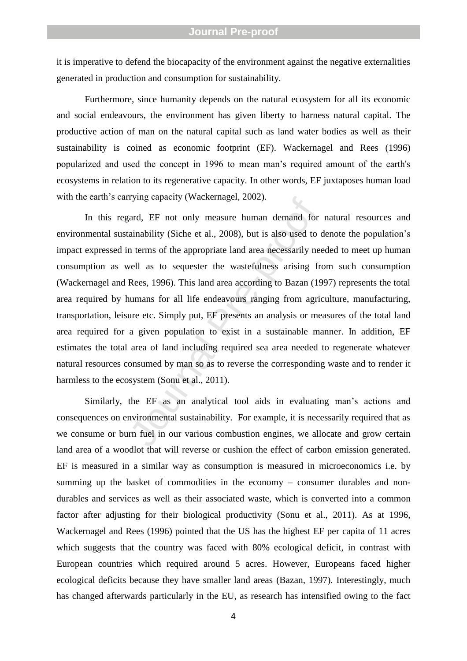it is imperative to defend the biocapacity of the environment against the negative externalities generated in production and consumption for sustainability.

Furthermore, since humanity depends on the natural ecosystem for all its economic and social endeavo urs, the environment has given liberty to harness natural capital. The productive action of man on the natural capital such as land water bodies as well as their sustainability is coined as economic footprint (EF). Wackernagel and Rees (1996) popularized and used the concept in 1996 to mean man's required amount of the earth's ecosystems in relation to its regenerative capacity. In other words, EF juxtaposes human load with the earth's carrying capacity (Wackernagel, 2002).

Tying capacity (wackerinager, 2002).<br>
Stand, EF not only measure human demand for<br>
ainability (Siche et al., 2008), but is also used to to<br>
in terms of the appropriate land area necessarily nevell<br>
as to sequester the was In this regard, EF not only measure human demand for natural resources and environmental sustainability (Siche et al., 2008), but is also used to denote the population's impact expressed in terms of the appropriate land area necessarily needed to meet up human consumption as well as to sequester the wastefulness arising from such consumption (Wackernagel and Rees, 1996) . This land area according to Bazan (1997) represents the total area required by humans for all life endeavo urs ranging from agriculture, manufacturing, transportation, leisure etc. Simply put, EF presents an analysis or measures of the total land area required for a given population to exist in a sustainable manner. In addition, EF estimates the total area of land including required sea area needed to regenerate whatever natural resources consumed by man so as to reverse the corresponding waste and to render it harmless to the ecosystem (Sonu et al., 2011) .

Similarly, the EF as an analytical tool aids in evaluating man's actions and consequences on environmental sustainability. For example, it is necessarily required that as we consume or burn fuel in our various combustion engines, we allocate and grow certain land area of a woodlot that will reverse or cushion the effect of carbon emission generated. EF is measured in a similar way as consumption is measured in microeconomics i.e. by summing up the basket of commodities in the economy – consumer durables and nondurables and services as well as their associated waste, which is converted into a common factor after adjusting for their biological productivity (Sonu et al., 2011). As at 1996, Wackernagel and Rees (1996) pointed that the US has the highest EF per capita of 11 acres which suggests that the country was faced with 80% ecological deficit, in contrast with European countries which require d around 5 acres. However, Europeans face d higher ecological deficits because they have smaller land areas (Bazan, 1997). Interestingly, much has changed afterwards particularly in the EU, as research has intensified owing to the fact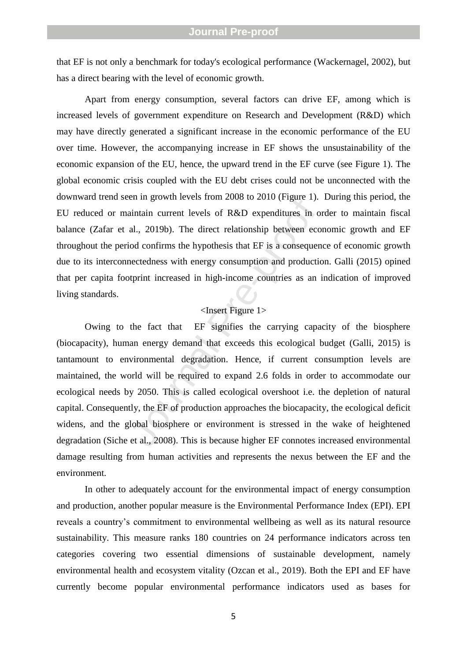that EF is not only a benchmark for today's ecological performance (Wackernagel, 2002) , but has a direct bearing with the level of economic growth .

Apart from energy consumption, several factors can drive EF, among which is increased levels of government expenditure on Research and Development (R&D) which may have directly generate d a significant increase in the economic performance of the EU over time . However, the accompanying increase in EF shows the unsustainability of the economic expansion of the EU, hence, the upward trend in the EF curve (see Figure 1). The global economic crisis coupled with the EU debt crises could not be unconnected with the downward trend seen in growth levels from 2008 to 201 0 (Figure 1). During this period, the EU reduced or maintain current levels of R&D expenditures in order to maintain fiscal balance (Zafar et al., 2019b). The direct relation ship between economic growth and EF throughout the period confirms the hypothesis that EF is a consequence of economic growth due to its interconnectedness with energy consumption and production. Galli (2015) opined that per capita footprint increased in high -income countries as an indication of improved living standards.

## <Insert Figure 1>

en in grown levels from 2008 to 2010 (Figure 1).<br>
aintain current levels of R&D expenditures in o<br>
al., 2019b). The direct relationship between eco<br>
iod confirms the hypothesis that EF is a consequen<br>
mectedness with energ Owing to the fact that EF signifies the carrying capacity of the biosphere (biocapacity ), human energy demand that exceed s this ecological budget (Galli, 2015) is tantamount to environmental degradation. Hence, if current consumption levels are maintained , the world will be required to expand 2.6 folds in order to accommodate our ecological needs by 2050. This is called ecological overshoot i.e. the depletion of natural capital. Consequently, the EF of production approaches the biocapacity , the ecological deficit widens, and the global biosphere or environment is stressed in the wake of heightened degradation (Siche et al., 2008). This is because higher EF connotes increased environmental damage resulting from human activities and represents the nexus between the EF and the environment.

In other to adequately account for the environmental impact of energy consumption and production, another popular measure is the Environmental Performance Index (EPI). EPI reveals a country's commitment to environmental wellbeing as well as its natural resource sustainability. This measure ranks 180 countries on 24 performance indicators across ten categories covering two essential dimensions of sustainable development, namely environmental health and ecosystem vitality (Ozcan et al., 2019). Both the EPI and EF have currently become popular environmental performance indicators used as bases for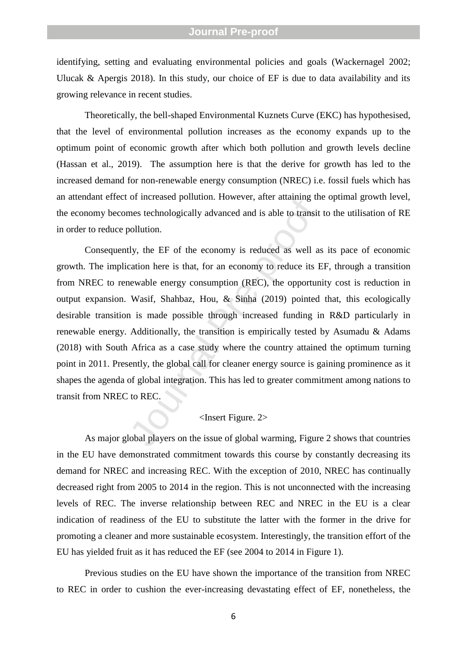identifying, setting and evaluating environmental policies and goals (Wackernagel 2002; Ulucak  $\&$  Apergis 2018). In this study, our choice of EF is due to data availability and its growing relevance in recent studies.

Theoretically, the bell -shaped Environmental Kuznet s Curve (EKC) has hypothesised , that the level of environmental pollution increases as the economy expands up to the optimum point of economic growth after which both pollution and growth levels decline (Hassan et al., 2019) . The assumption here is that the derive for growth has led to the increased demand for non -renewable energy consumption (NREC) i.e. fossil fuels which has an attendant effect of increased pollution. However, after attaining the optimal growth level, the economy becomes technologically advanced and is able to transit to the utilisation of RE in order to reduce pollution.

or increased pointion. However, aner attaining in<br>mes technologically advanced and is able to transit<br>pollution.<br>Hy, the EF of the economy is reduced as well as<br>cation here is that, for an economy to reduce its E<br>eewable e Consequently, the EF of the economy is reduced as well as its pace of economic growth. The implication here is that, for an economy to reduce its EF, through a transition from NREC to renewable energy consumption (REC ), the opportunity cost is reduction in output expansion. Wasif, Shahbaz, Hou, & Sinha (2019) pointed that, this ecologically desirable transition is made possible through increased funding in R&D particularly in renewable energy. Additionally, the transition is empirically tested by Asumadu & Adams (2018) with South Africa as a case study where the country attained the optimum turning point in 2011. Presently, the global call for cleaner energy source is gaining prominence as it shapes the agenda of global integration. This has led to greater commitment among nations to transit from NRE C to RE C.

## <Insert Figure. 2>

As major global players on the issue of global warming, Figure 2 show s that countries in the EU have demonstrated commitment towards this course by constantly decreasing its demand for NRE C and increasing RE C. With the exception of 2010, NREC has continually decreased right from 2005 to 2014 in the region. This is not unconnected with the increasing levels of REC. The inverse relationship between REC and NREC in the EU is a clear indication of readiness of the EU to substitute the latter with the former in the drive for promoting a cleaner and more sustainable ecosystem. Interestingly, the transition effort of the EU has yielded fruit as it has reduced the EF (see 2004 to 2014 in Figure 1 ) .

Previous studies o n the EU have shown the importance of the transition from NREC to REC in order to cushion the ever -increasing devastating effect of EF, nonetheless , the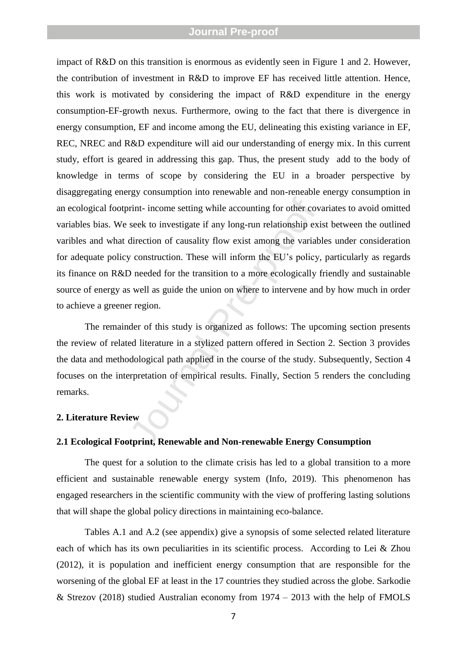Final Processor and Non-renewable Energy Compart<br>
Server the accounting for other covered seek to investigate if any long-run relationship exide<br>
direction of causality flow exist among the variably construction. These wil impact of R&D on this transition is enormous as evidently seen in Figure 1 and 2. However, the contribution of investment in R&D to improv e EF has received little attention . Hence, this work is motivated by considering the impact of R&D expenditure in the energy consumption -EF -growth nexus. Furthermore, owing to the fact that there is divergence in energy consumption, EF and income among the EU, delineating this existing variance in EF, REC, NREC and R&D expenditure will aid our understanding of energy mix. In this current study, effort is geared in addressing this gap. Thus, the present study add to the body of knowledge in terms of scope by considering the EU in a broader perspective by disaggregating energy consumption into renewable and non -reneable energy consumption in an ecological footprint - income setting while accounting for other covariates to avoid omitted variables bias. We seek to investigate if any long-run relationship exist between the outlined varibles and what direction of causality flow exist among the variables under consideration for adequate policy construction. These will inform the EU's policy , particularly as regards its finance on R&D needed for the transition to a more ecologically friendly and sustainable source of energy as well as guide the union on where to intervene and by how much in order to achieve a greener region .

The remainder of this study is organized as follows: The upcoming section presents the review of related literature in a stylized pattern offered in Section 2. Section 3 provides the data and methodological path applied in the course of the study. Subsequently , Section 4 focuses on the interpretation of empirical results. Finally, Section 5 renders the concluding remarks.

#### **2. Literature Review**

#### **2.1 Ecological Footprint, Renewable and Non -renewable Energy Consumption**

The quest for a solution to the climate crisis has led to a global transition to a more efficient and sustainable renewable energy system (Info, 2019). This phenomenon has engaged researchers in the scientific community with the view of proffering lasting solutions that will shape the global policy directions in maintaining eco -balance.

Table s A. 1 and A.2 (see appendix) give a synopsis of some selected related literature each of which has its own peculiarities in its scientific process. According to Lei & Zhou (2012), it is population and inefficient energy consumption that are responsible for the worsening of the global EF at least in the 17 countries they studied across the globe. Sarkodie & Strezov (2018) studied Australian economy from 1974 – 2013 with the help of FMOLS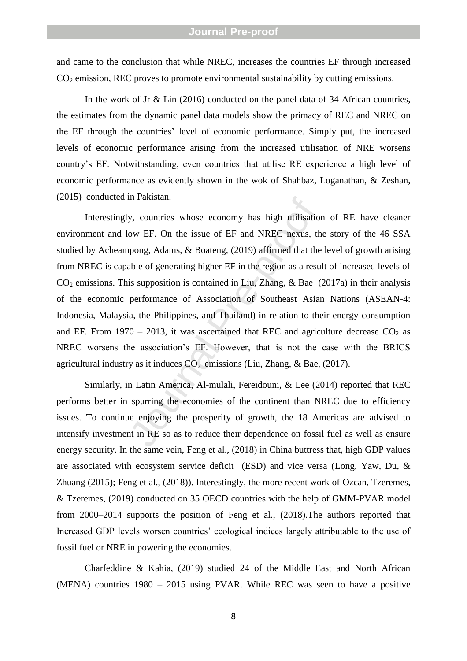and came to the conclusion that while NREC, increases the countries EF through increased CO <sup>2</sup> emission, REC proves to promote environmental su stainability by cutting emissions.

In the work of Jr & Lin (2016) conducted on the panel data of 34 African countries, the estimates from the dynamic panel data models show the primacy of REC and NREC on the EF through the countries' level of economic performance. Simply put, the increased levels of economic performance arising from the increased utilisation of NRE worsens country's EF. Notwithstanding, even countries that utilise RE experience a high level of economic performance as evidently shown in the wok of Shahbaz, Loganathan, & Zeshan, (2015) conducted in Pakistan.

by, countries whose economy has high utilisation<br>ow EF. On the issue of EF and NREC nexus, th<br>ppong, Adams, & Boateng, (2019) affirmed that the<br>able of generating higher EF in the region as a resu<br>is supposition is contai Interestingly, countries whose economy has high utilisation of RE have cleaner environment and low EF. On the issue of EF and NREC nexus, the story of the 46 SSA studied by Acheampong, Adams, & Boateng, (2019) affirmed that the level of growth arising from NREC is capable of generating higher EF in the region as a result of increased levels of CO <sup>2</sup> emissions. This supposition is contained in Liu, Zhang, & Bae (2017a) in their analysis of the economic performance of Association of Southeast Asian Nations (ASEAN -4: Indonesia, Malaysia, the Philippines, and Thailand) in relation to their energy consumption and EF. From  $1970 - 2013$ , it was ascertained that REC and agriculture decrease  $CO<sub>2</sub>$  as NREC worsens the association's EF. However, that is not the case with the BRICS agricultural industry as it induces  $CO<sub>2</sub>$  emissions (Liu, Zhang, & Bae, (2017).

Similarly, in Latin America, Al -mulali, Fereidouni, & Lee (2014) reported that REC perform s better in spurring the economies of the continent than NREC due to efficiency issues. To continue enjoying the prosperity of growth, the 18 Americas are advised to intensify investment in RE so as to reduce their dependenc e on fossil fuel as well as ensure energy security. In the same vein, Feng et al., (2018) in China buttress that, high GDP values are associated with ecosystem service deficit (ESD) and vice versa (Long, Yaw, Du, & Zhuang (2015); Feng et al., (2018)). Interestingly, the more recent work of Ozcan, Tzeremes, & Tzeremes, (2019) conducted on 35 OECD countries with the help of GMM -PVAR model from 2000 –2014 supports the position of Feng et al., (2018).The authors reported that Increased GDP levels worsen countries' ecological indices largely attributable to the use of fossil fuel or NRE in powering the economies.

Charfeddine & Kahia, (2019) studied 24 of the Middle East and North African (MENA) countries 1980 – 2015 using PVAR. While REC was seen to have a positive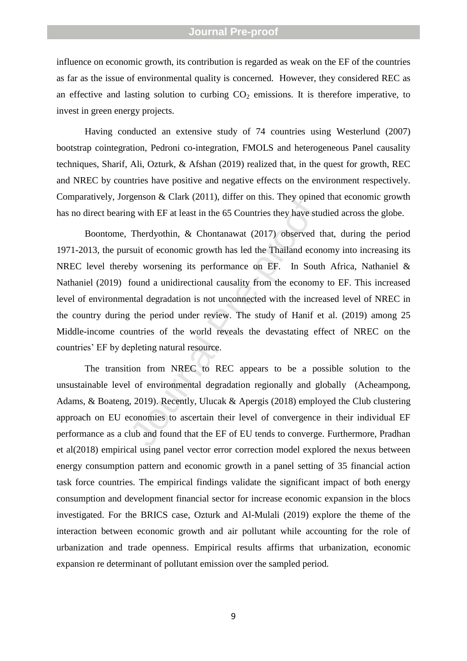influence on economic growth, its contribution is regarded as weak on the EF of the countries as far as the issue of environmental quality is concerned. However, they considered REC as an effective and lasting solution to curbing  $CO<sub>2</sub>$  emissions. It is therefore imperative, to invest in green energy projects.

Having conducted an extensive study of 74 countries using Westerlund (2007) bootstrap cointegration, Pedroni co -integration, FMOLS and heterogeneous Panel causality techniques, Sharif, Ali, Ozturk, & Afshan (2019) realized that, in the quest for growth, REC and NREC by countries have positive and negative effects on the environment respectively. Comparatively, Jorgenson & Clark (2011), differ on this. They opined that economic growth has no direct bearing with EF at least in the 65 Countries they have studied across the globe.

genson & Clark (2011), unter on this. They opined<br>ign with EF at least in the 65 Countries they have student Therdyothin, & Chontanawat (2017) observed t<br>suit of economic growth has led the Thailand econ<br>by worsening its p Boontome, Therdyothin, & Chontanawat (2017) observed that, during the period 1971 -2013, the pursuit of economic growth has led the Thailand economy into increasing its NREC level thereby worsening its performance on EF. In South Africa, Nathaniel & Nathaniel (2019) found a unidirectional causality from the economy to EF. This increased level of environmental degradation is not unconnected with the increased level of NREC in the country during the period under review. The study of Hanif et al. (2019) among 25 Middle -income countries of the world reveals the devastating effect of NREC on the countries' EF by depleting natural resource.

The transition from NREC to REC appears to be a possible solution to the unsustainable level of environmental degradation regionally an d globally (Acheampong, Adams, & Boateng, 2019). Recently, Ulucak & Apergis (2018) employed the Club clustering approach on EU economies to ascertain their level of convergence in their individual EF performance as a club and found that the EF of EU tend s to converge. Furthermore, Pradhan et al(2018) empirical using panel vector error correction model explored the nexus between energy consumption pattern and economic growth in a panel setting of 35 financial action task force countries. The empirical findings validate the significant impact of both energy consumption and development financial sector for increase economic expansion in the blocs investigated. For the BRICS case, Ozturk and Al -Mulali (2019) explore the theme of the interaction between economic growth and air pollutant while accounting for the role of urbanization and trade openness. Empirical results affirms that urbanization, economic expansion re determinant of pollutant emission over the sampled period.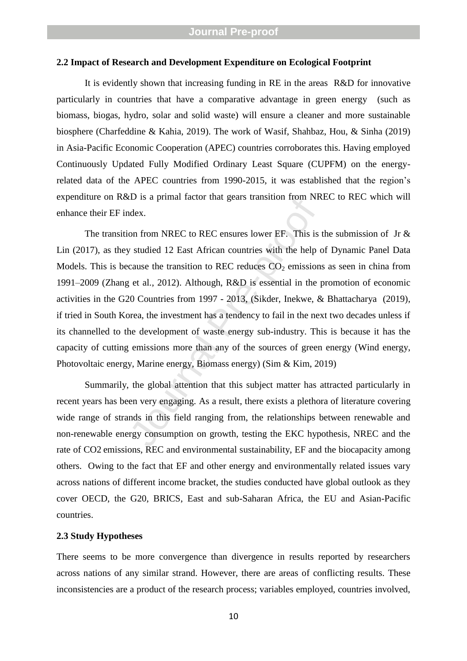#### **2.2 Impact of Research and Development Expenditure on Ecological Footprint**

It is evidently shown that increasing funding in RE in the areas R&D for innovative particularly in countries that have a comparative advantage in green energy (such as biomass, biogas, hydro, solar and solid waste) will ensure a cleaner and more sustainable biosphere (Charfeddine & Kahia, 2019). The work of Wasif, Shahbaz, Hou, & Sinha (2019) in Asia -Pacific Economic Cooperation (APEC) countries corroborates this. Having employed Continuously Updated Fully Modified Ordinary Least Square (CUPFM) on the energy related data of the APEC countries from 1990 -2015, it was established that the region's expenditure on R&D is a primal factor that gears transition from NREC to REC which will enhance their EF index.

ED is a pinnal factor that geats transition from NK<br>dex.<br>on from NREC to REC ensures lower EF. This is<br>y studied 12 East African countries with the help c<br>cause the transition to REC reduces CO<sub>2</sub> emission<br>y et al., 2012). The transition from NREC to REC ensures lower EF. This is the submission of Jr  $\&$ Lin (2017), as they studied 12 East African countries with the help of Dynamic Panel Data Models. This is because the transition to REC reduces  $CO<sub>2</sub>$  emissions as seen in china from 1991 –2009 (Zhang et al., 2012). Although, R&D is essential in the promotion of economic activities in the G20 Countries from 1997 - 2013, (Sikder, Inekwe, & Bhattacharya (2019), if tried in South Korea, the investment has a tendency to fail in the next two decades unless if its channe lled to the development of waste energy sub -industry. This is because it has the capacity of cutting emissions more than any of the sources of green energy (Wind energy, Photovoltaic energy, Marine energy, Biomass energy) (Sim & Kim, 2019)

Summarily, the global attention that this subject matter has attracted particularly in recent years has been very engaging. As a result, there exist s a plethora of literature covering wide range of strands in this field ranging from, the relationships between renewable and non -renewable energy consumption on growth, testing the EKC hypothesis, NREC and the rate of CO2 emissions, REC and environmental sustainability, EF and the biocapacity among others. Owing to the fact that EF and other energy and environmentally related issues vary across nations of different income bracket, the studies conducted have global outlook as they cover OECD, the G20, BRICS, East and sub -Saharan Africa, the EU and Asian -Pacific countries.

#### **2.3 Study Hypotheses**

There seems to be more convergence than divergence in results reported by researchers across nations of any similar strand. However, there are areas of conflicting results. These inconsistencies are a product of the research process; variables employed, countries involved,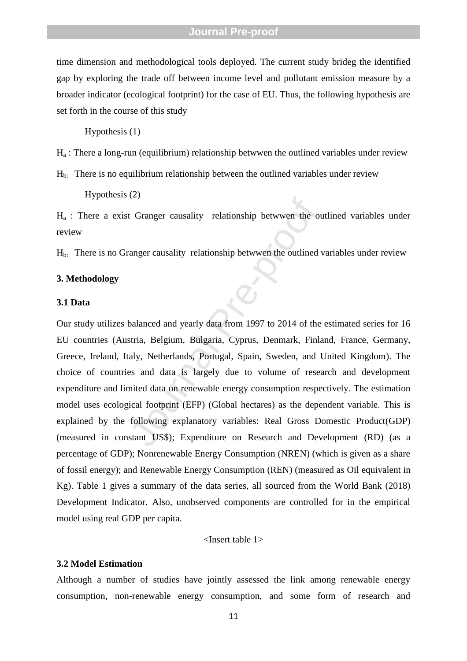time dimension and methodological tools deployed. The current study brideg the identified gap by exploring the trade off between income level and pollutant emission measure by a broader indicator (ecological footprint) for the case of EU. Thus, the following hypothesis are set forth in the course of this study

Hypothesis (1)

H <sup>a</sup> : There a long -run (equilibrium) relationship betwwen the outlined variables under review

 $H<sub>b</sub>$ : There is no equilibrium relationship between the outlined variables under review

Hypothesis (2)

H <sup>a</sup> : There a exist Granger causality relationship betwwen the outlined variables under review

 $H<sub>b</sub>$ : There is no Granger causality relationship betwwen the outlined variables under review

### **3. Methodology**

#### **3.1 Data**

(2)<br>
It Granger causality relationship betwwen the outlined<br>
anger causality relationship betwwen the outlined<br>
balanced and yearly data from 1997 to 2014 of the<br>
stria, Belgium, Bulgaria, Cyprus, Denmark, Finla<br>
stria, Be Our study utilizes balanced and yearly data from 1997 to 2014 of the estimated series for 16 EU countries (Austria, Belgium, Bulgaria, Cyprus, Denmark, Finland, France, Germany, Greece, Ireland, Italy, Netherlands, Portugal, Spain, Sweden, and United Kingdom ). The choice of countries and data is largely due to volume of research and development expenditure and limited data on renewable energy consumption respectively. The estimation model uses ecological footprint (EFP) (Global hectares) as the dependent variable. This is explained by the following explanatory variables: Real Gross Domestic Product(GDP) (measured in constant US\$); Expenditure on Research and Development (RD) (as a percentage of GDP); Nonrenewable Energy Consumption (NREN) (which is given as a share of fossil energy); and Renewable Energy Consumption (REN) (measured as Oil equivalent in Kg). Table 1 gives a summary of the data series, all sourced from the World Bank (2018) Development Indicator. Also, unobserved components are controlled for in the empirical model using real GDP per capita.

#### <Insert table 1>

#### **3.2 Model Estimation**

Although a number of studies have jointly assessed the link among renewable energy consumption, non -renewable energy consumption, and some form of research and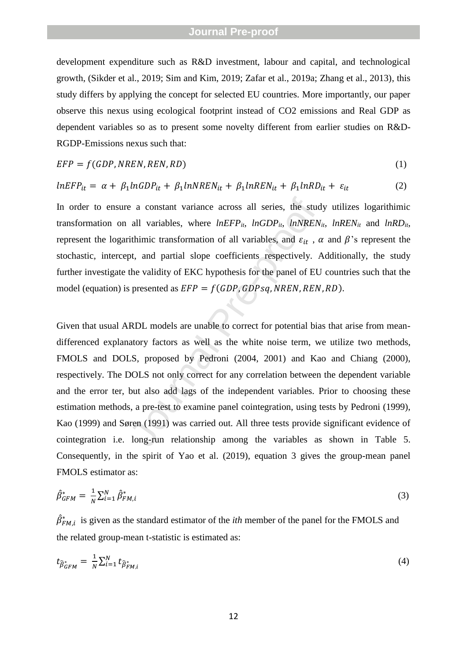development expenditure such as R&D investment, labour and capital, and technological growth, (Sikder et al., 2019; Sim and Kim, 2019; Zafar et al., 2019a; Zhang et al., 2013), this study differs by applying the concept for selected EU countries. More importantly, our paper observe this nexus using ecological footprint instead of CO2 emissions and Real GDP as dependent variables so as to present some novelty different from earlier studies on R&D - RGDP -Emissions nexus such that:

$$
EFP = f(GDP, NREN, REN, RD)
$$
\n(1)

$$
lnEFP_{it} = \alpha + \beta_1 lnGDP_{it} + \beta_1 lnNREN_{it} + \beta_1 lnREN_{it} + \beta_1 lnRD_{it} + \varepsilon_{it}
$$
 (2)

In order to ensure a constant variance across all series, the study utilizes logarithimic transformation on all variables, where *lnEFPit*, *lnGDPit*, *lnNRENit*, *lnRENit* and *lnRDit*, represent the logarithimic transformation of all variables, and  $\varepsilon_{it}$ ,  $\alpha$  and  $\beta$ 's represent the stochastic, intercept, and partial slope coefficients respectively. Additionally, the study further investigate the validity of EKC hypothesis for the panel of EU countries such that the model (equation) is presented as  $EFP = f(GDP, GDPsq, NREN, REN, RD)$ .

e a constant variance across all series, the stud<br>all variables, where  $InEFP_{ii}$ ,  $InGDP_{ii}$ ,  $InNREN$ <br>ithimic transformation of all variables, and  $\varepsilon_{it}$ ,  $\epsilon_{it}$ <br>pt, and partial slope coefficients respectively.  $\ell$ <br>the val Given that usual ARDL models are unable to correct for potential bias that arise from mean differenced explanatory factors as well as the white noise term, we utilize two methods, FMOLS and DOLS, proposed by Pedroni (2004, 2001) and Kao and Chiang (2000), respectively. The DOLS not only correct for any correlation between the dependent variable and the error ter, but also add lags of the independent variables. Prior to choosing these estimation methods, a pre-test to examine panel cointegration, using tests by Pedroni (1999), Kao (1999) and Søren (1991) was carried out. All three tests provide significant evidence of cointegration i.e. long -run relationship among the variables as shown in Table 5. Consequently, in the spirit of Yao et al. (2019) , equation 3 gives the group -mean panel FMOLS estimator as:

$$
\hat{\beta}_{GFM}^{*} = \frac{1}{N} \sum_{i=1}^{N} \hat{\beta}_{FM,i}^{*} \tag{3}
$$

 $\hat{\beta}_{FM,i}^{*}$  is given as the standard estimator of the *ith* member of the panel for the FMOLS and the related group -mean t -statistic is estimated as:

$$
t_{\widehat{\beta}_{GFM}^*} = \frac{1}{N} \sum_{i=1}^N t_{\widehat{\beta}_{FM,i}^*}
$$
 (4)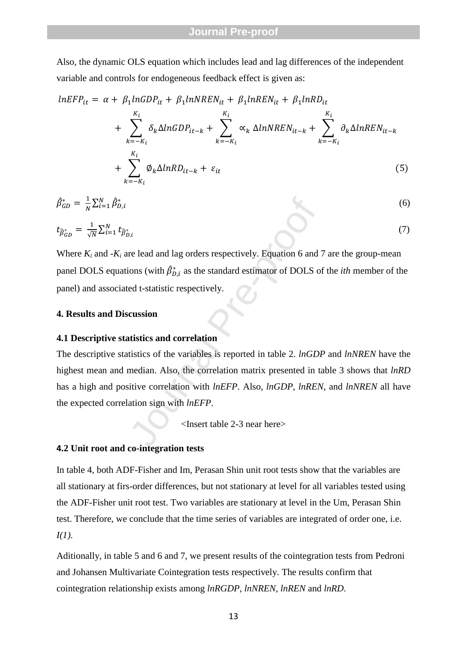Also, the dynamic OLS equation which includes lead and lag differences of the independent variable and controls for endogeneous feedback effect is given as:

$$
lnEFP_{it} = \alpha + \beta_1 lnGDP_{it} + \beta_1 lnNREN_{it} + \beta_1 lnREN_{it} + \beta_1 lnRD_{it}
$$
  
+ 
$$
\sum_{k=-K_i}^{K_i} \delta_k \Delta lnGDP_{it-k} + \sum_{k=-K_i}^{K_i} \alpha_k \Delta lnNREN_{it-k} + \sum_{k=-K_i}^{K_i} \partial_k \Delta lnREN_{it-k}
$$
  
+ 
$$
\sum_{k=-K_i}^{K_i} \emptyset_k \Delta lnRD_{it-k} + \varepsilon_{it}
$$
 (5)

$$
\hat{\beta}_{GD}^* = \frac{1}{N} \sum_{i=1}^N \hat{\beta}_{D,i}^*
$$
\n
$$
t_{\hat{\beta}_{GD}^*} = \frac{1}{\sqrt{N}} \sum_{i=1}^N t_{\hat{\beta}_{D,i}^*}
$$
\n(6)

Where  $K_i$  and  $-K_i$  are lead and lag orders respectively. Equation 6 and 7 are the group-mean panel DOLS equations (with  $\hat{\beta}_{D,i}^*$  as the standard estimator of DOLS of the *ith* member of the panel ) and associated t -statistic respectively.

### **4. Results and Discussion**

#### **4.1 Descriptive statistics and correlation**

 $\vec{B}_{b,i}$ <br>  $\vec{B}_{b,i}$  are lead and lag orders respectively. Equation 6 and<br>
ed t-statistic respectively.<br> **Currendian**<br> **Currendian**<br> **Currendian**<br> **Currendian**<br> **Currendian**<br> **Currendian**<br> **Currendian**<br> **Currendian**<br> **C** The descriptive statistics of the variables is reported in table 2. *lnGDP* and *lnNREN* have the highest mean and median. Also, the correlation matrix presented in table 3 shows that *lnRD* has a high and positive correlation with *lnEFP*. Also, *lnGDP*, *lnREN* , and *lnNREN* all have the expected correlation sign with *lnEFP* .

<Insert table 2 -3 near here>

### **4.2 Unit root and co -integration tests**

In table 4, both ADF -Fisher and Im, Perasan Shin unit root tests show that the variables are all stationary at firs -order differences, but not stationary at level for all variables tested using the ADF -Fisher unit root test. Two variables are stationary at level in the Um, Perasan Shin test. Therefore, we conclude that the time series of variables are integrated of order one, i.e. *I(1)*.

Aditionally, in table 5 and 6 and 7, we present results of the cointegration tests from Pedroni and Johansen Multivariate Cointegration tests respectively. The results confirm that cointegration relationship exists among *lnRGDP, lnNREN, lnREN* and *lnRD* .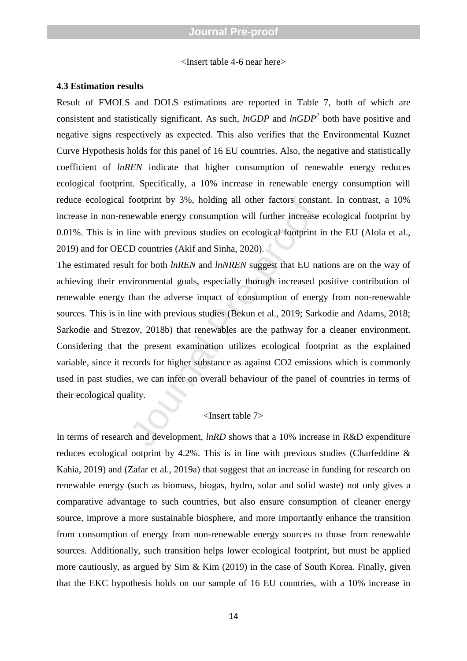<Insert table 4 -6 near here>

#### **4.3 Estimation results**

Result of FMOLS and DOLS estimations are reported in Table 7, both of which are consistent and statistically significant. As such, *lnGDP* and *lnGDP 2* both have positive and negative signs respectively as expected. This also verifies that the Environmental Kuznet Curve Hypothesis holds for this panel of 16 EU countries. Also, the negative and statistically coefficient of *lnREN* indicate that higher consumption of renewable energy reduces ecological footprint. Specifically, a 10% increase in renewable energy consumption will reduce ecological footprint by 3%, holding all other factors constant . In contrast, a 10% increase in non -renewable energy consumption will further increase ecological footprint by 0.01%. This is in line with previous studies on ecological footprint in the EU (Alola et al., 2019) and for OECD countries (Akif and Sinha, 2020) .

footprint by 3%, holding all other factors constant<br>newable energy consumption will further increase<br>line with previous studies on ecological footprint i<br>D countries (Akif and Sinha, 2020).<br>At for both  $lnREN$  and  $lnNREN$  sugg The estimated result for both *lnREN* and *lnNREN* suggest that EU nations are on the way of achieving their environmental goals, especially thorugh increased positive contribution of renewable energy than the adverse impact of consumption of energy from non -renewable sources. This is in line with previous studies (Bekun et al., 2019; Sarkodie and Adams, 2018; Sarkodie and Strezov, 2018b) that renewables are the pathway for a cleaner environment . Considering that the present examination utilizes ecological footprint as the explained variable, since it records for higher substance as against CO2 emissions which is commonly used in past studies, we can infer on overall behaviour of the panel of countries in terms of their ecological quality.

#### <Insert table 7>

In terms of research and development, *lnRD* shows that a 10% increase in R&D expenditure reduces ecological ootprint by 4.2%. This is in line with previous studies (Charfeddine & Kahia, 2019) and (Zafar et al., 2019a) that suggest that an increase in funding for research on renewable energy (such as biomass, biogas, hydro, solar and solid waste) not only gives a comparative advantage to such countries, but also ensure consumption of cleaner energy source, improve a more sustainable biosphere, and more importantly enhance the transition from consumption of energy from non -renewable energy sources to those from renewable sources. Additionally, such transition helps lower ecological footprint, but must be applied more cautiously, as argued by Sim & Kim (2019) in the case of South Korea. Finally, given that the EKC hypothesis holds on our sample of 16 EU countries, with a 10% increase in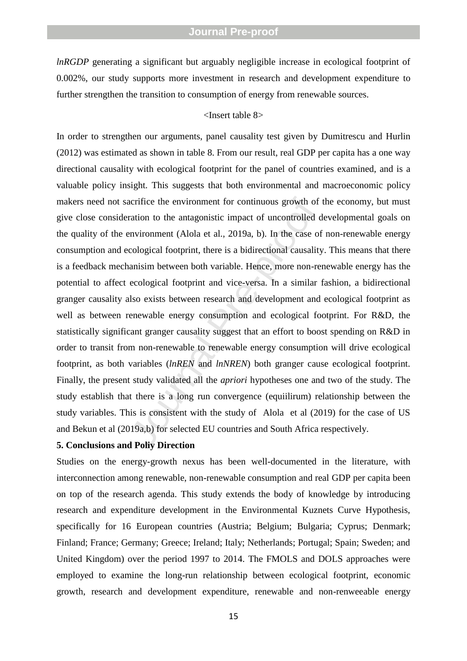*lnRGDP* generating a significant but arguably negligible increase in ecological footprint of 0.002%, our study supports more investment in research and development expenditure to further strengthen the transition to consumption of energy from renewable sources.

#### <Insert table 8>

acrifice the environment for continuous growth of<br>ration to the antagonistic impact of uncontrolled c<br>environment (Alola et al., 2019a, b). In the case of<br>cological footprint, there is a bidirectional causality<br>annisim bet In order to strengthen our arguments, panel causality test given by Dumitrescu and Hurlin (2012) was estimated as shown in table 8. From our result, real GDP per capita has a one way directional causality with ecological footprint for the panel of countries examined, and is a valuable policy insight. This suggests that both environmental and macroeconomic policy makers need not sacrifice the environment for continuous growth of the economy, but must give close consideration to the antagonistic impact of uncontrolled developmental goals on the quality of the environment (Alola et al., 2019a, b ). In the case of non -renewable energy consumption and ecological footprint, there is a bidirectional causality. This means that there is a feedback mechanisim between both variable. Hence, more non -renewable energy has the potential to affect ecological footprint and vice -versa. In a similar fashion, a bidirectional granger causality also exists between research and development and ecological footprint as well as between renewable energy consumption and ecological footprint. For R&D, the statistically significant granger causality suggest that an effort to boost spending on R&D in order to transit from non -renewable to renewable energy consumption will drive ecological footprint, as both variables (*lnREN* and *lnNREN*) both granger cause ecological footprint. Finally, the present study validated all the *apriori* hypotheses one and two of the study. The study establish that there is a long run convergence (equiilirum) relationship between the study variables. This is consistent with the study of Alola et al (2019) for the case of US and Bekun et al (2019a,b) for selected EU countries and South Africa respectively.

#### **5. Conclusions and Poliy Direction**

Studies on the energy -growth nexus has been well -documented in the literature, with interconnection among renewable, non -renewable consumption and real GDP per capita been on top of the research agenda. This study extends the body of knowledge by introducing research and expenditure development in the Environmental Kuznets Curve Hypothesis, specifically for 16 European countries (Austria; Belgium; Bulgaria; Cyprus; Denmark; Finland; France; Germany; Greece; Ireland; Italy; Netherlands; Portugal; Spain; Sweden; and United Kingdom) over the period 199 7 to 2014. The FMOLS and DOLS approaches were employed to examine the long -run relationship between ecological footprint, economic growth, research and development expenditure, renewable and non -renweeable energy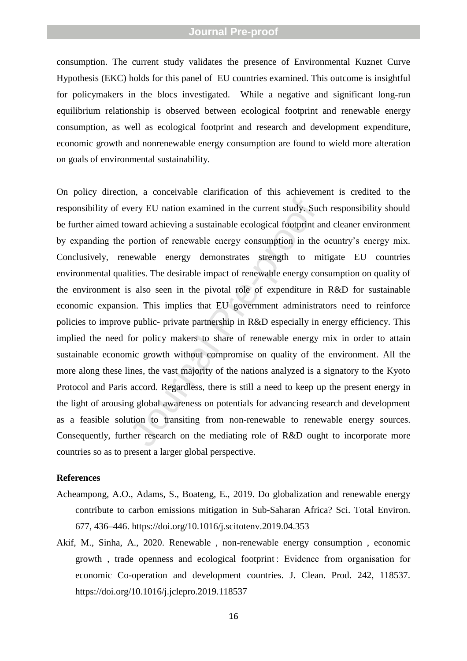consumption. The current study validates the presence of Environmental Kuznet Curve Hypothesis (EKC) holds for this panel of EU countries examined. This outcome is insightful for policymakers in the blocs investigated. While a negative and significant long -run equilibrium relationship is observed between ecological footprint and renewable energy consumption, as well as ecological footprint and research and development expenditure, economic growth and nonrenewable energy consumption are found to wield more alteration on goals of environmental sustainability.

very EU nation examined in the current study. Suc<br>ward achieving a sustainable ecological footprint a<br>portion of renewable energy consumption in the<br>newable energy demonstrates strength to m<br>lities. The desirable impact of On policy direction, a conceivable clarification of this achievement is credited to the responsibility of every EU nation examined in the current study. Such responsibility should be further aimed toward achieving a sustainable ecological footprint and cleaner environment by expanding the portion of renewable energy consumption in the ocuntry's energy mix. Conclusively, renewable energy demonstrates strength to mitigate EU countries environmental qualities. The desirable impact of renewable energy consumption on quality of the environment is also seen in the pivotal role of expenditure in R&D for sustainable economic expansion. This implies that EU government administrators need to reinforce policies to improve public - private partnership in R&D especially in energy efficiency. This implied the need for policy makers to share of renewable energy mix in order to attain sustainable economic growth without compromise on quality of the environment. All the more along these lines, the vast majority of the nations analyzed is a signatory to the Kyoto Protocol and Paris accord. Regardless, there is still a need to keep up the present energy in the light of arousing global awareness on potentials for advancing research and development as a feasible solution to transiting from non -renewable to renewable energy sources. Consequently, further research on the mediating role of R&D ought to incorporate more countries so as to present a larger global perspective.

### **References**

- Acheampong, A.O., Adams, S., Boateng, E., 2019. Do globalization and renewable energy contribute to carbon emissions mitigation in Sub -Saharan Africa? Sci. Total Environ. 677, 436 –446. https://doi.org/10.1016/j.scitotenv.2019.04.353
- Akif, M., Sinha, A., 2020. Renewable , non -renewable energy consumption , economic growth , trade openness and ecological footprint : Evidence from organisation for economic Co -operation and development countries. J. Clean. Prod. 242, 118537. https://doi.org/10.1016/j.jclepro.2019.118537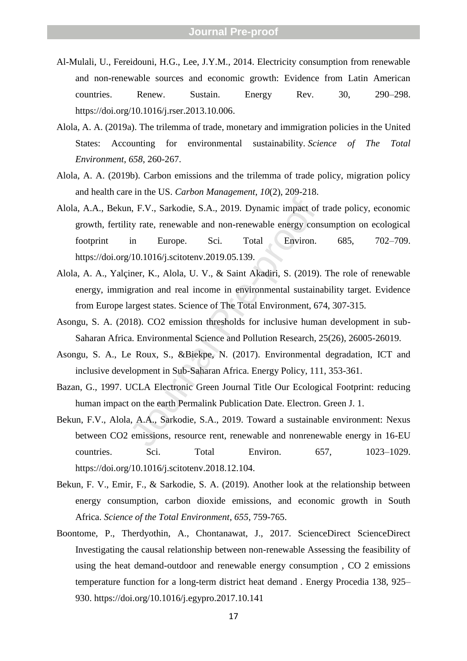- Al -Mulali, U., Fereidouni, H.G., Lee, J.Y.M., 2014. Electricity consumption from renewable and no n -renewable sources and economic growth: Evidence from Latin American countries. Renew. Sustain. Energy Rev. 30, 290 –298. https://doi.org/10.1016/j.rser.2013.10.006 .
- Alola, A. A. (2019a). The trilemma of trade, monetary and immigration policies in the United States: Accounting for environmental sustainability. *Science of The Total Environment* , *658*, 260 -267.
- Alola, A. A. (2019b). Carbon emissions and the trilemma of trade policy, migration policy and health care in the US. *Carbon Management* , *10*(2), 209 -218.
- n, F.V., Sarkodie, S.A., 2019. Dynamic impact of<br>ty rate, renewable and non-renewable energy cons<br>in Europe. Sci. Total Environ.<br>/10.1016/j.scitotenv.2019.05.139.<br>iner, K., Alola, U. V., & Saint Akadiri, S. (2019).<br>gration Alola, A.A., Bekun, F.V., Sarkodie, S.A., 2019. Dynamic impact of trade policy, economic growth, fertility rate, renewable and non -renewable energy consumption on ecological footprint in Europe. Sci. Total Environ. 685, 702 702-709. https://doi.org/10.1016/j.scitotenv.2019.05.139 .
- Alola, A. A., Yalçiner, K., Alola, U. V., & Saint Akadiri, S. (2019). The role of renewable energy, immigration and real income in environmental sustainability target. Evidence from Europe largest states. Science of The Total Environment, 674, 307 -315.
- Asongu, S. A. (2018). CO2 emission thresholds for inclusive human development in sub Saharan Africa. Environmental Science and Pollution Research, 25(26), 26005 -26019.
- Asongu, S. A., Le Roux, S., &Biekpe, N. (2017). Environmental degradation, ICT and inclusive development in Sub -Saharan Africa. Energy Policy, 111, 353 -361.
- Bazan, G., 1997. UCLA Electronic Green Journal Title Our Ecological Footprint: reducing human impact on the earth Permalink Publication Date. Electron. Green J. 1.
- Bekun, F.V., Alola, A.A., Sarkodie, S.A., 2019. Toward a sustainable environment: Nexus between CO2 emissions, resource rent, renewable and nonrenewable energy in 16 -EU countries. Sci. Total Environ. 657, 1023 1023-1029. https://doi.org/10.1016/j.scitotenv.2018.12.104 .
- Bekun, F. V., Emir, F., & Sarkodie, S. A. (2019). Another look at the relationship between energy consumption, carbon dioxide emissions, and economic growth in South Africa. *Science of the Total Environment* , *655*, 759 -765.
- Boontome, P., Therdyothin, A., Chontanawat, J., 2017. ScienceDirect ScienceDirect Investigating the causal relationship between non -renewable Assessing the feasibility of using the heat demand -outdoor and renewable energy consumption , CO 2 emissions temperature function for a long-term district heat demand. Energy Procedia 138, 925– 930. https://doi.org/10.1016/j.egypro.2017.10.141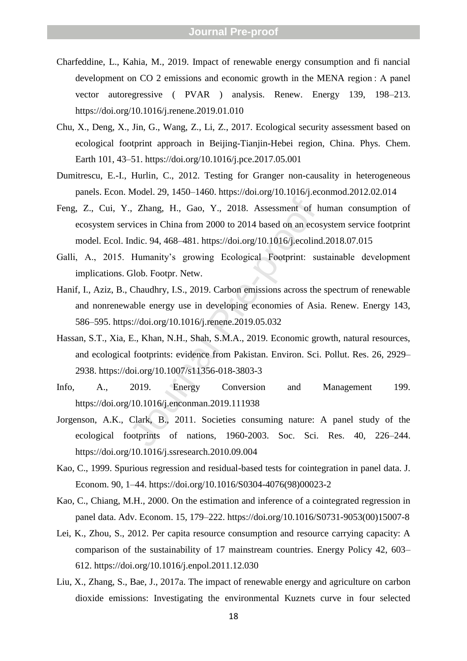- Charfeddine, L., Kahia, M., 2019. Impact of renewable energy consumption and fi nancial development on CO 2 emissions and economic growth in the MENA region : A panel vector autoregressive ( PVAR ) analysis. Renew. Energy 139, 198 –213. https://doi.org/10.1016/j.renene.2019.01.010
- Chu, X., Deng, X., Jin, G., Wang, Z., Li, Z., 2017. Ecological security assessment based on ecological footprint approach in Beijing -Tianjin -Hebei region, China. Phys. Chem. Earth 101, 43 –51. https://doi.org/10.1016/j.pce.2017.05.001
- Dumitrescu, E. -I., Hurlin, C., 2012. Testing for Granger non -causality in heterogeneous panels. Econ. Model. 29, 1450 –1460. https://doi.org/10.1016/j.econmod.2012.02.014
- ., Zhang, H., Gao, Y., 2018. Assessment of h<br>vices in China from 2000 to 2014 based on an ecos<br>indic. 94, 468–481. https://doi.org/10.1016/j.ecolind<br>Humanity's growing Ecological Footprint: su<br>Glob. Footpr. Netw.<br>Chaudhry, Feng, Z., Cui, Y., Zhang, H., Gao, Y., 2018. Assessment of human consumption of ecosystem services in China from 2000 to 2014 based on an ecosystem service footprint model. Ecol. Indic. 94, 468 –481. https://doi.org/10.1016/j.ecolind.2018.07.015
- Galli, A., 2015. Humanity's growing Ecological Footprint: sustainable development implications. Glob. Footpr. Netw.
- Hanif, I., Aziz, B., Chaudhry, I.S., 2019. Carbon emissions across the spectrum of renewable and nonrenewable energy use in developing economies of Asia. Renew. Energy 143, 586 –595. https://doi.org/10.1016/j.renene.2019.05.032
- Hassan, S.T., Xia, E., Khan, N.H., Shah, S.M.A., 2019. Economic growth, natural resources, and ecological footprints: evidence from Pakistan. Environ. Sci. Pollut. Res. 26, 2929 – 2938. https://doi.org/10.1007/s11356 -018 -3803 - 3
- Info, A., 2019. Energy Conversion and Management 199. https://doi.org/10.1016/j.enconman.2019.111938
- Jorgenson, A.K., Clark, B., 2011. Societies consuming nature: A panel study of the ecological footprints of nations, 1960 -2003. Soc. Sci. Res. 40, 226 –244. https://doi.org/10.1016/j.ssresearch.2010.09.004
- Kao, C., 1999. Spurious regression and residual -based tests for cointegration in panel data. J. Econom. 90, 1–44. https://doi.org/10.1016/S0304-4076(98)00023-2
- Kao, C., Chiang, M.H., 2000. On the estimation and inference of a cointegrated regression in panel data. Adv. Econom. 15, 179–222. https://doi.org/10.1016/S0731-9053(00)15007-8
- Lei, K., Zhou, S., 2012. Per capita resource consumption and resource carrying capacity: A comparison of the sustainability of 17 mainstream countries. Energy Policy 42, 603 – 612. https://doi.org/10.1016/j.enpol.2011.12.030
- Liu, X., Zhang, S., Bae, J., 2017a. The impact of renewable energy and agriculture on carbon dioxide emissions: Investigating the environmental Kuznets curve in four selected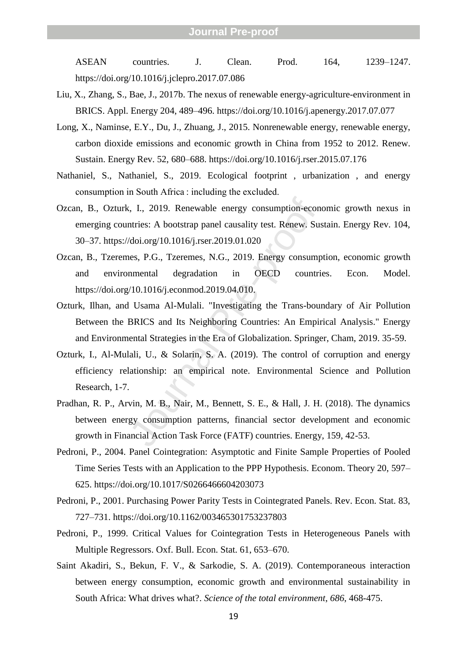ASEAN countries. J. Clean. Prod. 164, –1247. https://doi.org/10.1016/j.jclepro.2017.07.086

- Liu, X., Zhang, S., Bae, J., 2017b. The nexus of renewable energy -agriculture -environment in BRICS. Appl. Energy 204, 489 –496. https://doi.org/10.1016/j.apenergy.2017.07.077
- Long, X., Naminse, E.Y., Du, J., Zhuang, J., 2015. Nonrenewable energy, renewable energy, carbon dioxide emissions and economic growth in China from 1952 to 2012. Renew. Sustain. Energy Rev. 52, 680 –688. https://doi.org/10.1016/j.rser.2015.07.176
- Nathaniel, S., Nathaniel, S., 2019. Ecological footprint , urbanization , and energy consumption in South Africa : including the excluded.
- Ozcan, B., Ozturk, I., 2019. Renewable energy consumption -economic growth nexus in emerging countries: A bootstrap panel causality test. Renew. Sustain. Energy Rev. 104, 30 –37. https://doi.org/10.1016/j.rser.2019.01.020
- Ozcan, B., Tzeremes, P.G., Tzeremes, N.G., 2019. Energy consumption, economic growth and environmental degradation in OECD countries. Econ. Model. https://doi.org/10.1016/j.econmod.2019.04.010 .
- Ozturk, Ilhan, and Usama Al -Mulali. "Investigating the Trans -boundary of Air Pollution Between the BRICS and Its Neighboring Countries: An Empirical Analysis." Energy and Environmental Strategies in the Era of Globalization. Springer, Cham, 2019. 35 -59.
- Ozturk, I., Al -Mulali, U., & Solarin, S. A. (2019). The control of corruption and energy efficiency relationship: an empirical note. Environmental Science and Pollution Research, 1 -7.
- I., I., 2019. Renewable energy consumption-econ untries: A bootstrap panel causality test. Renew. Sus (doi.org/10.1016/j.rser.2019.01.020<br>eas, P.G., Tzeremes, N.G., 2019. Energy consump nmental degradation in OECD countri Pradhan, R. P., Arvin, M. B., Nair, M., Bennett, S. E., & Hall, J. H. (2018). The dynamics between energy consumption patterns, financial sector development and economic growth in Financial Action Task Force (FATF) countries. Energy, 159, 42 -53.
- Pedroni, P., 2004. Panel Cointegration: Asymptotic and Finite Sample Properties of Pooled Time Series Tests with an Application to the PPP Hypothesis. Econom. Theory 20, 597 – 625. https://doi.org/10.1017/S0266466604203073
- Pedroni, P., 2001. Purchasing Power Parity Tests in Cointegrated Panels. Rev. Econ. Stat. 83, 727 –731. https://doi.org/10.1162/003465301753237803
- Pedroni, P., 1999. Critical Values for Cointegration Tests in Heterogeneous Panels with Multiple Regressors. Oxf. Bull. Econ. Stat. 61, 653 –670.
- Saint Akadiri, S., Bekun, F. V., & Sarkodie, S. A. (2019). Contemporaneous interaction between energy consumption, economic growth and environmental sustainability in South Africa: What drives what?. *Science of the total environment* , *686*, 468 -475.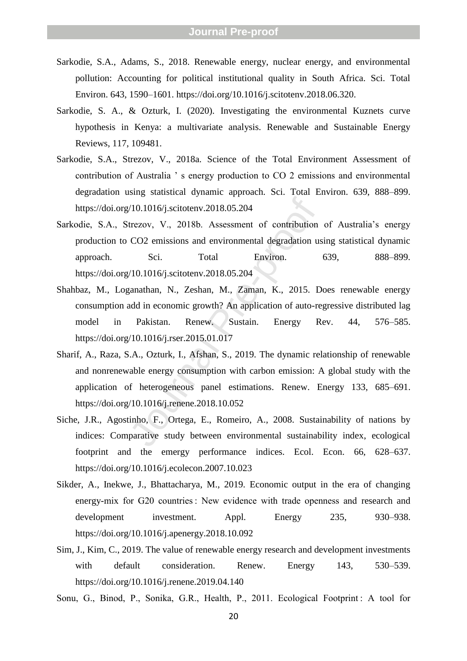- Sarkodie, S.A., Adams, S., 2018. Renewable energy, nuclear energy, and environmental pollution: Accounting for political institutional quality in South Africa. Sci. Total Environ. 643, 1590 –1601. https://doi.org/10.1016/j.scitotenv.2018.06.320 .
- Sarkodie, S. A., & Ozturk, I. (2020). Investigating the environmental Kuznets curve hypothesis in Kenya: a multivariate analysis. Renewable and Sustainable Energy Reviews, 117, 109481.
- Sarkodie, S.A., Strezov, V., 2018a. Science of the Total Environment Assessment of contribution of Australia ' s energy production to CO 2 emissions and environmental degradation using statistical dynamic approach. Sci. Total Environ. 639, 888 –899. https://doi.org/10.1016/j.scitotenv.2018.05.204
- Sarkodie, S.A., Strezov, V., 2018b. Assessment of contribution of Australia's energy production to CO2 emissions and environmental degradation using statistical dynamic approach. Sci. Total Environ. 639, –899. https://doi.org/10.1016/j.scitotenv.2018.05.204
- $/10.1016/j.scitotenv.2018.05.204$ <br>trezov, V., 2018b. Assessment of contribution<br>CO2 emissions and environmental degradation us<br>Sci. Total Environ.<br> $/10.1016/j.scitotenv.2018.05.204$ <br>ganathan, N., Zeshan, M., Zaman, K., 2015. D<br>add i Shahbaz, M., Loganathan, N., Zeshan, M., Zaman, K., 2015. Does renewable energy consumption add in economic growth? An application of auto -regressive distributed lag model in Pakistan. Renew. Sustain. Energy Rev. 44, 576 576–585. https://doi.org/10.1016/j.rser.2015.01.017
- Sharif, A., Raza, S.A., Ozturk, I., Afshan, S., 2019. The dynamic relationship of renewable and nonrenewable energy consumption with carbon emission: A global study with the application of heterogeneous panel estimations. Renew. Energy 133, 685 –691. https://doi.org/10.1016/j.renene.2018.10.052
- Siche, J.R., Agostinho, F., Ortega, E., Romeiro, A., 2008. Sustainability of nations by indices: Comparative study between environmental sustainability index, ecological footprint and the emergy performance indices. Ecol. Econ. 66, 628 –637. https://doi.org/10.1016/j.ecolecon.2007.10.023
- Sikder, A., Inekwe, J., Bhattacharya, M., 2019. Economic output in the era of changing energy -mix for G20 countries : New evidence with trade openness and research and development investment. Appl. Energy 235, 930-938. https://doi.org/10.1016/j.apenergy.2018.10.092
- Sim, J., Kim, C., 2019. The value of renewable energy research and development investments with default consideration. Renew. Energy 143, 530-539. https://doi.org/10.1016/j.renene.2019.04.140
- Sonu, G., Binod, P., Sonika, G.R., Health, P., 2011. Ecological Footprint: A tool for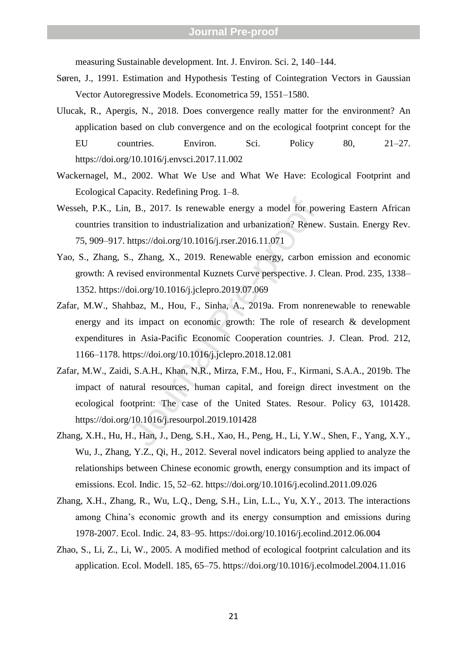measuring Sustainable development. Int. J. Environ. Sci. 2, 140 –144.

- Søren, J., 1991. Estimation and Hypothesis Testing of Cointegration Vectors in Gaussian Vector Autoregressive Models. Econometrica 59, 1551 –1580.
- Ulucak, R., Apergis, N., 2018. Does convergence really matter for the environment? An application based on club convergence and on the ecological footprint concept for the EU countries. Environ. Sci. Policy 80, 21  $21 - 27$ . https://doi.org/10.1016/j.envsci.2017.11.002
- Wackernagel, M., 2002. What We Use and What We Have: Ecological Footprint and Ecological Capacity. Redefining Prog. 1 –8.
- Wesseh, P.K., Lin, B., 2017. Is renewable energy a model for powering Eastern African countries transition to industrialization and urbanization? Renew. Sustain. Energy Rev. 75, 909 –917. https://doi.org/10.1016/j.rser.2016.11.071
- Yao, S., Zhang, S., Zhang, X., 2019. Renewable energy, carbon emission and economic growth: A revised environmental Kuznets Curve perspective. J. Clean. Prod. 235, 1338 – 1352. https://doi.org/10.1016/j.jclepro.2019.07.069
- B., 2017. Is renewable energy a model for povaluation to industrialization and urbanization? Renewable then the energy of Muslim Contents://doi.org/10.1016/j.rser.2016.11.071<br>
F., Zhang, X., 2019. Renewable energy, carbon Zafar, M.W., Shahbaz, M., Hou, F., Sinha, A., 2019a. From nonrenewable to renewable energy and its impact on economic growth: The role of research & development expenditures in Asia -Pacific Economic Cooperation countries. J. Clean. Prod. 212, 1166 –1178. https://doi.org/10.1016/j.jclepro.2018.12.081
- Zafar, M.W., Zaidi, S.A.H., Khan, N.R., Mirza, F.M., Hou, F., Kirmani, S.A.A., 2019b. The impact of natural resources, human capital, and foreign direct investment on the ecological footprint: The case of the United States. Resour. Policy 63, 101428. https://doi.org/10.1016/j.resourpol.2019.101428
- Zhang, X.H., Hu, H., Han, J., Deng, S.H., Xao, H., Peng, H., Li, Y.W., Shen, F., Yang, X.Y., Wu, J., Zhang, Y.Z., Qi, H., 2012. Several novel indicators being applied to analyze the relationships between Chinese economic growth, energy consumption and its impact of emissions. Ecol. Indic. 15, 52 –62. https://doi.org/10.1016/j.ecolind.2011.09.026
- Zhang, X.H., Zhang, R., Wu, L.Q., Deng, S.H., Lin, L.L., Yu, X.Y., 2013. The interactions among China's economic growth and its energy consumption and emissions during 1978 - 2007. Ecol. Indic. 24, 83 –95. https://doi.org/10.1016/j.ecolind.2012.06.004
- Zhao, S., Li, Z., Li, W., 2005. A modified method of ecological footprint calculation and its application. Ecol. Modell. 185, 65 –75. https://doi.org/10.1016/j.ecolmodel.2004.11.016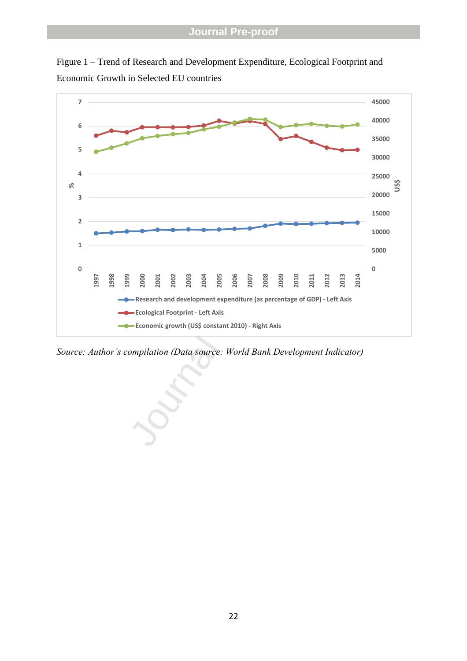



*Source: Author's compilation (Data source: World Bank Development Indicator)*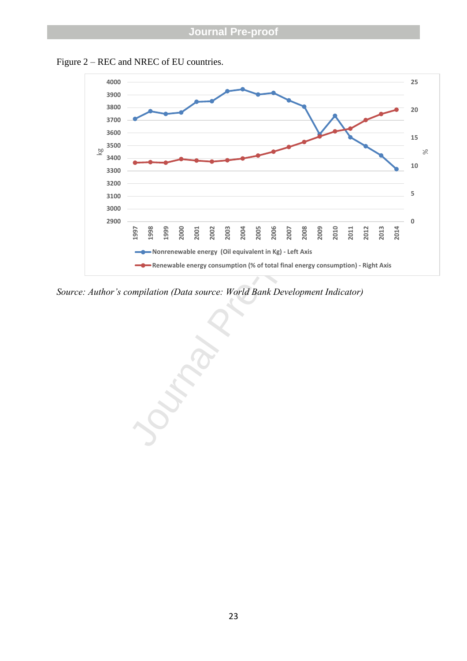

Figure 2 – REC and NREC of EU countries.

*Source: Author's compilation (Data source: World Bank Development Indicator)*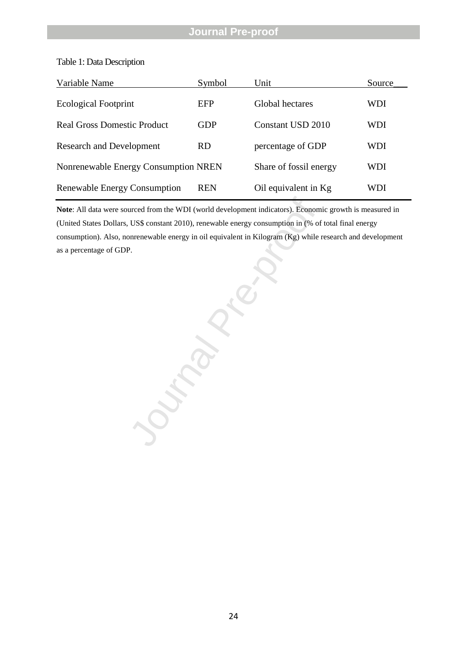| Variable Name                        | Symbol    | Unit                     | Source |
|--------------------------------------|-----------|--------------------------|--------|
| <b>Ecological Footprint</b>          | EFP       | Global hectares          | WDI    |
| <b>Real Gross Domestic Product</b>   | GDP       | <b>Constant USD 2010</b> | WDI    |
| <b>Research and Development</b>      | <b>RD</b> | percentage of GDP        | WDI    |
| Nonrenewable Energy Consumption NREN |           | Share of fossil energy   | WDI    |
| Renewable Energy Consumption         | REN       | Oil equivalent in Kg     | WDI    |

#### Table 1: Data Description

**Note**: All data were sourced from the WDI (world development indicators). Economic growth is measured in (United States Dollars, US\$ constant 2010), renewable energy consumption in (% of total final energy consumption). Also, nonrenewable energy in oil equivalent in Kilogram (Kg) while research and development as a percentage of GDP.

Ournal Press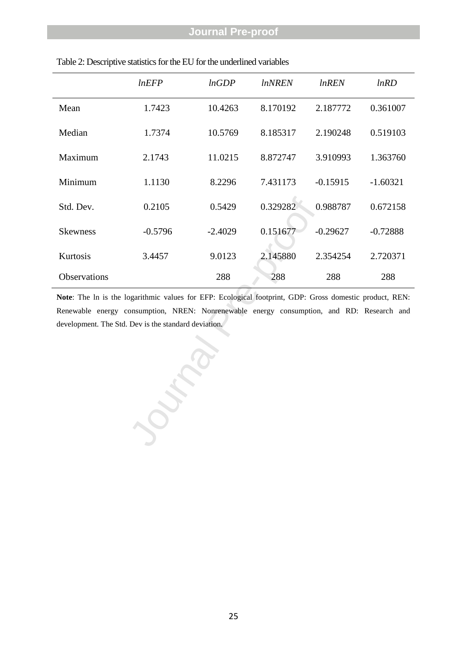|                     | lnEFP     | lnGDP     | <i>lnNREN</i> | <i>lnREN</i> | lnRD       |
|---------------------|-----------|-----------|---------------|--------------|------------|
| Mean                | 1.7423    | 10.4263   | 8.170192      | 2.187772     | 0.361007   |
| Median              | 1.7374    | 10.5769   | 8.185317      | 2.190248     | 0.519103   |
| Maximum             | 2.1743    | 11.0215   | 8.872747      | 3.910993     | 1.363760   |
| Minimum             | 1.1130    | 8.2296    | 7.431173      | $-0.15915$   | $-1.60321$ |
| Std. Dev.           | 0.2105    | 0.5429    | 0.329282      | 0.988787     | 0.672158   |
| <b>Skewness</b>     | $-0.5796$ | $-2.4029$ | 0.151677      | $-0.29627$   | $-0.72888$ |
| Kurtosis            | 3.4457    | 9.0123    | 2.145880      | 2.354254     | 2.720371   |
| <b>Observations</b> |           | 288       | 288           | 288          | 288        |

### Table 2: Descriptive statistics for the EU for the underlined variables

Journal Pre-**Note**: The ln is the logarithmic values for EFP: Ecological footprint, GDP: Gross domestic product, REN: Renewable energy consumption, NREN: Nonrenewable energy consumption, and RD: Research and development. The Std. Dev is the standard deviation.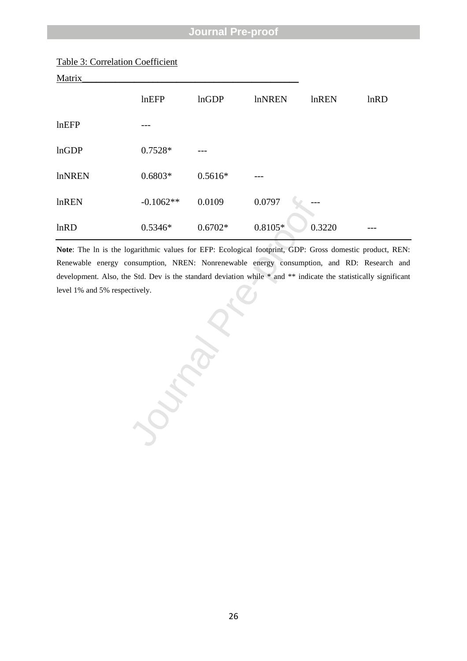| Table 3: Correlation Coefficient |  |
|----------------------------------|--|
|                                  |  |

| Matrix        |             |              |               |              |      |
|---------------|-------------|--------------|---------------|--------------|------|
|               | lnEFP       | <b>lnGDP</b> | <b>InNREN</b> | <b>lnREN</b> | lnRD |
| lnEFP         |             |              |               |              |      |
| lnGDP         | 0.7528*     |              |               |              |      |
| <b>InNREN</b> | $0.6803*$   | $0.5616*$    |               |              |      |
| lnREN         | $-0.1062**$ | 0.0109       | 0.0797        |              |      |
| lnRD          | $0.5346*$   | $0.6702*$    | $0.8105*$     | 0.3220       |      |

**Note**: The ln is the logarithmic values for EFP: Ecological footprint, GDP: Gross domestic product, REN: Renewable energy consumption, NREN: Nonrenewable energy consumption, and RD: Research and development. Also, the Std. Dev is the standard deviation while \* and \*\* indicate the statistically significant level 1% and 5% respectively.

Journal Pre-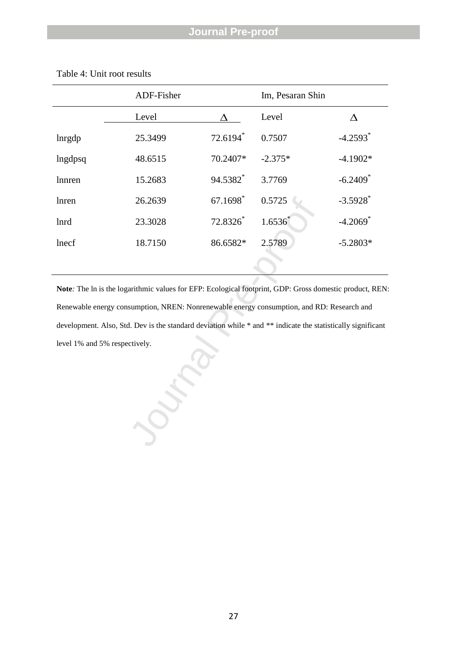|                               | ADF-Fisher |          | Im, Pesaran Shin                                                                                            |                        |  |
|-------------------------------|------------|----------|-------------------------------------------------------------------------------------------------------------|------------------------|--|
|                               | Level      |          | Level                                                                                                       | $\Delta$               |  |
| lnrgdp                        | 25.3499    | 72.6194* | 0.7507                                                                                                      | $-4.2593$ <sup>*</sup> |  |
| lngdpsq                       | 48.6515    | 70.2407* | $-2.375*$                                                                                                   | $-4.1902*$             |  |
| lnnren                        | 15.2683    | 94.5382* | 3.7769                                                                                                      | $-6.2409$ <sup>*</sup> |  |
| lnren                         | 26.2639    | 67.1698* | 0.5725                                                                                                      | $-3.5928$              |  |
| <b>lnrd</b>                   | 23.3028    | 72.8326* | $1.6536^{*}$                                                                                                | $-4.2069$ <sup>*</sup> |  |
| lnecf                         | 18.7150    | 86.6582* | 2.5789                                                                                                      | $-5.2803*$             |  |
|                               |            |          |                                                                                                             |                        |  |
|                               |            |          | Note: The ln is the logarithmic values for EFP: Ecological footprint, GDP: Gross domestic product, REN      |                        |  |
|                               |            |          | Renewable energy consumption, NREN: Nonrenewable energy consumption, and RD: Research and                   |                        |  |
|                               |            |          | development. Also, Std. Dev is the standard deviation while * and ** indicate the statistically significant |                        |  |
| level 1% and 5% respectively. |            |          |                                                                                                             |                        |  |
|                               |            |          |                                                                                                             |                        |  |

### Table 4: Unit root results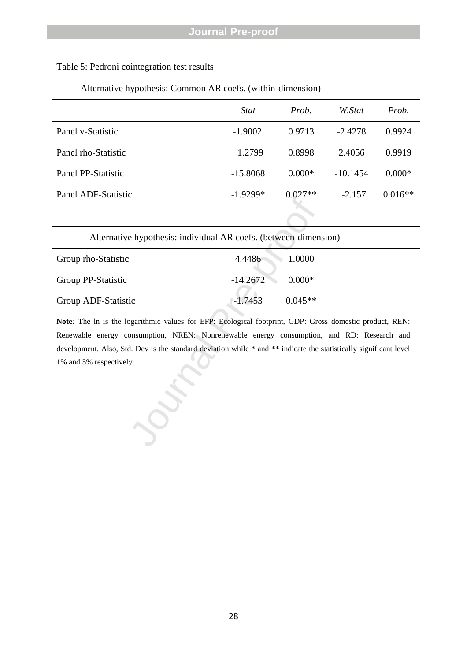| Alternative hypothesis: Common AR coefs. (within-dimension) |             |           |            |           |  |
|-------------------------------------------------------------|-------------|-----------|------------|-----------|--|
|                                                             | <b>Stat</b> | Prob.     | W.Stat     | Prob.     |  |
| Panel v-Statistic                                           | $-1.9002$   | 0.9713    | $-2.4278$  | 0.9924    |  |
| Panel rho-Statistic                                         | 1.2799      | 0.8998    | 2.4056     | 0.9919    |  |
| Panel PP-Statistic                                          | $-15.8068$  | $0.000*$  | $-10.1454$ | $0.000*$  |  |
| Panel ADF-Statistic                                         | $-1.9299*$  | $0.027**$ | $-2.157$   | $0.016**$ |  |

## Table 5: Pedroni cointegration test results

| Alternative hypothesis: individual AR coefs. (between-dimension)                                                                                                                                                                                                                                                                                     |            |           |
|------------------------------------------------------------------------------------------------------------------------------------------------------------------------------------------------------------------------------------------------------------------------------------------------------------------------------------------------------|------------|-----------|
| Group rho-Statistic                                                                                                                                                                                                                                                                                                                                  | 4.4486     | 1.0000    |
| Group PP-Statistic                                                                                                                                                                                                                                                                                                                                   | $-14.2672$ | $0.000*$  |
| Group ADF-Statistic                                                                                                                                                                                                                                                                                                                                  | $-1.7453$  | $0.045**$ |
| Note: The ln is the logarithmic values for EFP: Ecological footprint, GDP: Gross domestic product, REN:<br>Renewable energy consumption, NREN: Nonrenewable energy consumption, and RD: Research and<br>development. Also, Std. Dev is the standard deviation while * and ** indicate the statistically significant level<br>1% and 5% respectively. |            |           |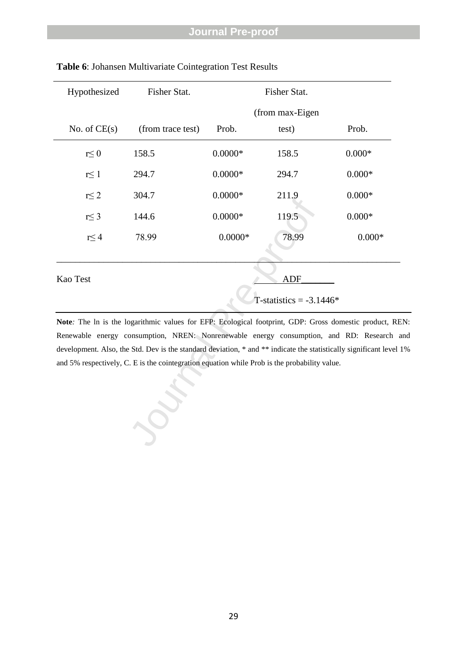| Hypothesized   | Fisher Stat.                                                                                                     | Fisher Stat.    |            |          |  |  |
|----------------|------------------------------------------------------------------------------------------------------------------|-----------------|------------|----------|--|--|
|                |                                                                                                                  | (from max-Eigen |            |          |  |  |
| No. of $CE(s)$ | (from trace test)                                                                                                | Prob.           | test)      | Prob.    |  |  |
| $r \leq 0$     | 158.5                                                                                                            | $0.0000*$       | 158.5      | $0.000*$ |  |  |
| $r \leq 1$     | 294.7                                                                                                            | $0.0000*$       | 294.7      | $0.000*$ |  |  |
| $r \leq 2$     | 304.7                                                                                                            | $0.0000*$       | 211.9      | $0.000*$ |  |  |
| $r \leq 3$     | 144.6                                                                                                            | $0.0000*$       | 119.5      | $0.000*$ |  |  |
| $r \leq 4$     | 78.99                                                                                                            | $0.0000*$       | 78.99      | $0.000*$ |  |  |
|                |                                                                                                                  |                 |            |          |  |  |
| Kao Test       |                                                                                                                  |                 | <b>ADF</b> |          |  |  |
|                | T-statistics = $-3.1446*$                                                                                        |                 |            |          |  |  |
|                | Note: The ln is the logarithmic values for EFP: Ecological footprint, GDP: Gross domestic product, RE            |                 |            |          |  |  |
|                | Renewable energy consumption, NREN: Nonrenewable energy consumption, and RD: Research a                          |                 |            |          |  |  |
|                | development. Also, the Std. Dev is the standard deviation, * and ** indicate the statistically significant level |                 |            |          |  |  |
|                | and 5% respectively, C. E is the cointegration equation while Prob is the probability value.                     |                 |            |          |  |  |
|                |                                                                                                                  |                 |            |          |  |  |
|                |                                                                                                                  |                 |            |          |  |  |
|                |                                                                                                                  |                 |            |          |  |  |
|                |                                                                                                                  |                 |            |          |  |  |
|                |                                                                                                                  |                 |            |          |  |  |

**Table 6**: Johansen Multivariate Cointegration Test Results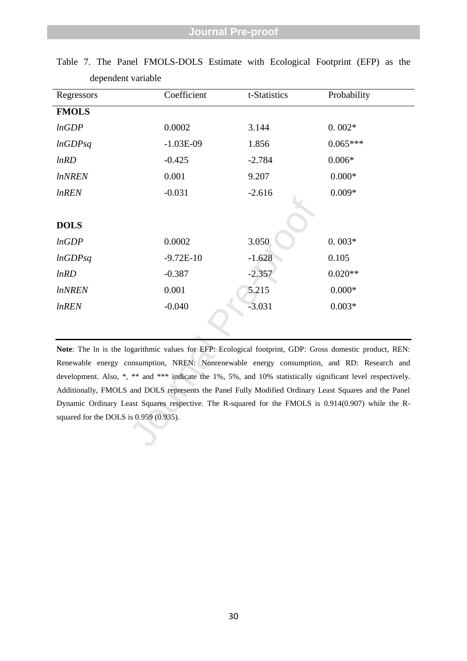| Regressors                                                                                                  | Coefficient | t-Statistics | Probability |  |  |
|-------------------------------------------------------------------------------------------------------------|-------------|--------------|-------------|--|--|
| <b>FMOLS</b>                                                                                                |             |              |             |  |  |
| lnGDP                                                                                                       | 0.0002      | 3.144        | $0.002*$    |  |  |
| lnGDPsq                                                                                                     | $-1.03E-09$ | 1.856        | $0.065***$  |  |  |
| lnRD                                                                                                        | $-0.425$    | $-2.784$     | $0.006*$    |  |  |
| <i>lnNREN</i>                                                                                               | 0.001       | 9.207        | $0.000*$    |  |  |
| <i>lnREN</i>                                                                                                | $-0.031$    | $-2.616$     | $0.009*$    |  |  |
|                                                                                                             |             |              |             |  |  |
| <b>DOLS</b>                                                                                                 |             |              |             |  |  |
| lnGDP                                                                                                       | 0.0002      | 3.050        | $0.003*$    |  |  |
| lnGDPsq                                                                                                     | $-9.72E-10$ | $-1.628$     | 0.105       |  |  |
| lnRD                                                                                                        | $-0.387$    | $-2.357$     | $0.020**$   |  |  |
| <i>lnNREN</i>                                                                                               | 0.001       | 5.215        | $0.000*$    |  |  |
| <i>lnREN</i>                                                                                                | $-0.040$    | $-3.031$     | $0.003*$    |  |  |
|                                                                                                             |             |              |             |  |  |
|                                                                                                             |             |              |             |  |  |
| Note: The ln is the logarithmic values for EFP: Ecological footprint, GDP: Gross domestic product, REN:     |             |              |             |  |  |
| Renewable energy consumption, NREN: Nonrenewable energy consumption, and RD: Research and                   |             |              |             |  |  |
| development. Also, *, ** and *** indicate the 1%, 5%, and 10% statistically significant level respectively. |             |              |             |  |  |
| Additionally, FMOLS and DOLS represents the Panel Fully Modified Ordinary Least Squares and the Panel       |             |              |             |  |  |
| Dynamic Ordinary Least Squares respective. The R-squared for the FMOLS is 0.914(0.907) while the R-         |             |              |             |  |  |
| squared for the DOLS is 0.959 (0.935).                                                                      |             |              |             |  |  |
|                                                                                                             |             |              |             |  |  |
|                                                                                                             |             |              |             |  |  |

Table 7. The Panel FMOLS -DOLS Estimate with Ecological Footprint (EFP) as the dependent variable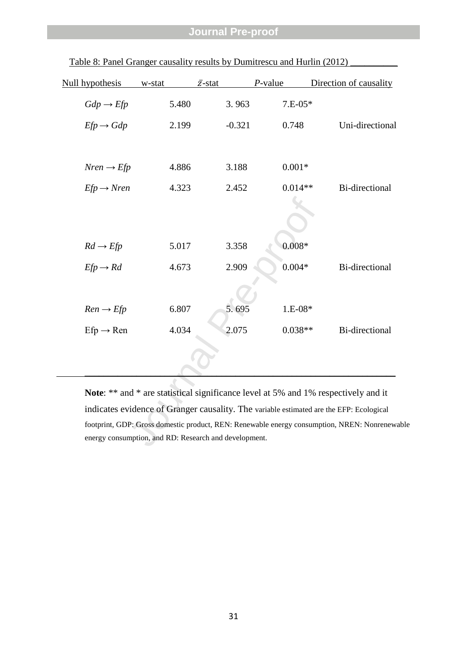| Null hypothesis                                       | w-stat | $\bar{z}$ -stat | $P$ -value | Direction of causality                                                                     |  |
|-------------------------------------------------------|--------|-----------------|------------|--------------------------------------------------------------------------------------------|--|
| $Gdp \rightarrow Efp$                                 | 5.480  | 3.963           | $7.E-05*$  |                                                                                            |  |
| $Efp \rightarrow Gdp$                                 | 2.199  | $-0.321$        | 0.748      | Uni-directional                                                                            |  |
| $Nren \rightarrow Efp$                                | 4.886  | 3.188           | $0.001*$   |                                                                                            |  |
| $Efp \rightarrow Nren$                                | 4.323  | 2.452           | $0.014**$  | <b>Bi-directional</b>                                                                      |  |
|                                                       |        |                 |            |                                                                                            |  |
| $Rd \rightarrow Efp$                                  | 5.017  | 3.358           | $0.008*$   |                                                                                            |  |
| $Efp \rightarrow Rd$                                  | 4.673  | 2.909           | $0.004*$   | <b>Bi-directional</b>                                                                      |  |
|                                                       |        |                 |            |                                                                                            |  |
| $Ren \rightarrow Efp$                                 | 6.807  | 5.695           | $1.E-08*$  |                                                                                            |  |
| $Efp \rightarrow Ren$                                 | 4.034  | 2.075           | $0.038**$  | <b>Bi-directional</b>                                                                      |  |
|                                                       |        |                 |            |                                                                                            |  |
|                                                       |        |                 |            | Note: ** and * are statistical significance level at 5% and 1% respectively and it         |  |
|                                                       |        |                 |            | indicates evidence of Granger causality. The variable estimated are the EFP: Ecological    |  |
|                                                       |        |                 |            | footprint, GDP: Gross domestic product, REN: Renewable energy consumption, NREN: Nonrenewa |  |
| energy consumption, and RD: Research and development. |        |                 |            |                                                                                            |  |

Table 8: Panel Granger causality results by Dumitrescu and Hurlin (2012)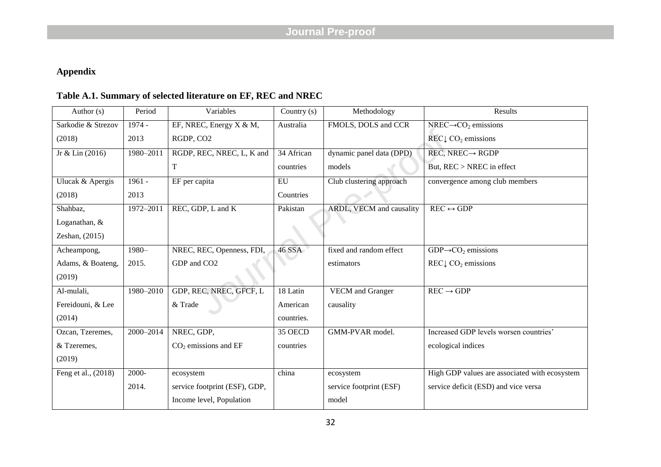# **Appendix**

# **Table A.1. Summary of selected literature on EF, REC and NREC**

| Author (s)          | Period    | Variables                     | Country (s)   | Methodology              | Results                                            |
|---------------------|-----------|-------------------------------|---------------|--------------------------|----------------------------------------------------|
| Sarkodie & Strezov  | 1974 -    | EF, NREC, Energy X & M,       | Australia     | FMOLS, DOLS and CCR      | $NREC \rightarrow CO_2$ emissions                  |
| (2018)              | 2013      | RGDP, CO2                     |               |                          | REC $\downarrow$ CO <sub>2</sub> emissions         |
| Jr & Lin (2016)     | 1980-2011 | RGDP, REC, NREC, L, K and     | 34 African    | dynamic panel data (DPD) | $REC, NREC \rightarrow RGDP$                       |
|                     |           | T                             | countries     | models                   | But, REC > NREC in effect                          |
| Ulucak & Apergis    | $1961 -$  | EF per capita                 | EU            | Club clustering approach | convergence among club members                     |
| (2018)              | 2013      |                               | Countries     |                          |                                                    |
| Shahbaz,            | 1972-2011 | REC, GDP, L and K             | Pakistan      | ARDL, VECM and causality | $\overline{\text{REC}} \leftrightarrow \text{GDP}$ |
| Loganathan, &       |           |                               |               |                          |                                                    |
| Zeshan, (2015)      |           |                               |               |                          |                                                    |
| Acheampong,         | $1980 -$  | NREC, REC, Openness, FDI,     | <b>46 SSA</b> | fixed and random effect  | $GDP \rightarrow CO$ , emissions                   |
| Adams, & Boateng,   | 2015.     | GDP and CO <sub>2</sub>       |               | estimators               | REC $\downarrow$ CO <sub>2</sub> emissions         |
| (2019)              |           |                               |               |                          |                                                    |
| Al-mulali,          | 1980-2010 | GDP, REC, NREC, GFCF, L       | 18 Latin      | <b>VECM</b> and Granger  | $REC \rightarrow GDP$                              |
| Fereidouni, & Lee   |           | & Trade                       | American      | causality                |                                                    |
| (2014)              |           |                               | countries.    |                          |                                                    |
| Ozcan, Tzeremes,    | 2000-2014 | NREC, GDP,                    | 35 OECD       | GMM-PVAR model.          | Increased GDP levels worsen countries'             |
| & Tzeremes,         |           | $CO2$ emissions and EF        | countries     |                          | ecological indices                                 |
| (2019)              |           |                               |               |                          |                                                    |
| Feng et al., (2018) | $2000 -$  | ecosystem                     | china         | ecosystem                | High GDP values are associated with ecosystem      |
|                     | 2014.     | service footprint (ESF), GDP, |               | service footprint (ESF)  | service deficit (ESD) and vice versa               |
|                     |           | Income level, Population      |               | model                    |                                                    |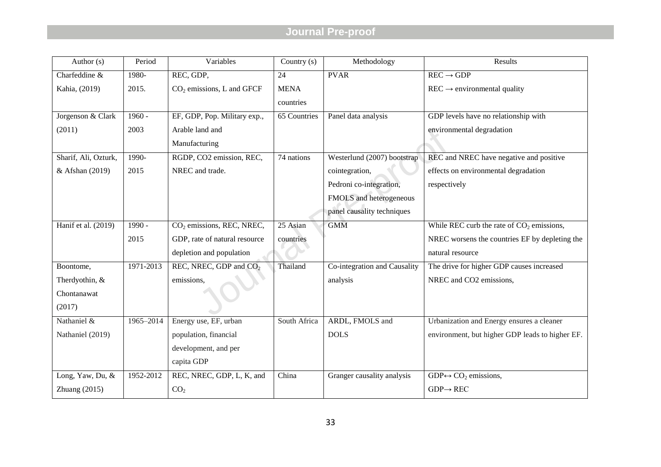| Author $(s)$         | Period        | Variables                             | Country (s)  | Methodology                  | Results                                         |
|----------------------|---------------|---------------------------------------|--------------|------------------------------|-------------------------------------------------|
| Charfeddine &        | 1980-         | REC, GDP,                             | 24           | <b>PVAR</b>                  | $REC \rightarrow GDP$                           |
| Kahia, (2019)        | 2015.         | $CO2$ emissions, L and GFCF           | <b>MENA</b>  |                              | $\text{REC} \rightarrow$ environmental quality  |
|                      |               |                                       | countries    |                              |                                                 |
| Jorgenson & Clark    | $1960 -$      | EF, GDP, Pop. Military exp.,          | 65 Countries | Panel data analysis          | GDP levels have no relationship with            |
| (2011)               | 2003          | Arable land and                       |              |                              | environmental degradation                       |
|                      |               | Manufacturing                         |              |                              |                                                 |
| Sharif, Ali, Ozturk, | 1990-         | RGDP, CO2 emission, REC,              | 74 nations   | Westerlund (2007) bootstrap  | REC and NREC have negative and positive         |
| & Afshan (2019)      | 2015          | NREC and trade.                       |              | cointegration,               | effects on environmental degradation            |
|                      |               |                                       |              | Pedroni co-integration,      | respectively                                    |
|                      |               |                                       |              | FMOLS and heterogeneous      |                                                 |
|                      |               |                                       |              | panel causality techniques   |                                                 |
| Hanif et al. (2019)  | $1990 -$      | CO <sub>2</sub> emissions, REC, NREC, | 25 Asian     | <b>GMM</b>                   | While REC curb the rate of $CO2$ emissions,     |
|                      | 2015          | GDP, rate of natural resource         | countries    |                              | NREC worsens the countries EF by depleting the  |
|                      |               | depletion and population              |              |                              | natural resource                                |
| Boontome,            | $1971 - 2013$ | REC, NREC, GDP and CO <sub>2</sub>    | Thailand     | Co-integration and Causality | The drive for higher GDP causes increased       |
| Therdyothin, &       |               | emissions,                            |              | analysis                     | NREC and CO2 emissions,                         |
| Chontanawat          |               |                                       |              |                              |                                                 |
| (2017)               |               |                                       |              |                              |                                                 |
| Nathaniel &          | 1965-2014     | Energy use, EF, urban                 | South Africa | ARDL, FMOLS and              | Urbanization and Energy ensures a cleaner       |
| Nathaniel (2019)     |               | population, financial                 |              | <b>DOLS</b>                  | environment, but higher GDP leads to higher EF. |
|                      |               | development, and per                  |              |                              |                                                 |
|                      |               | capita GDP                            |              |                              |                                                 |
| Long, Yaw, Du, &     | 1952-2012     | REC, NREC, GDP, L, K, and             | China        | Granger causality analysis   | $GDP \leftrightarrow CO_2$ emissions,           |
| Zhuang $(2015)$      |               | CO <sub>2</sub>                       |              |                              | $GDP \rightarrow REC$                           |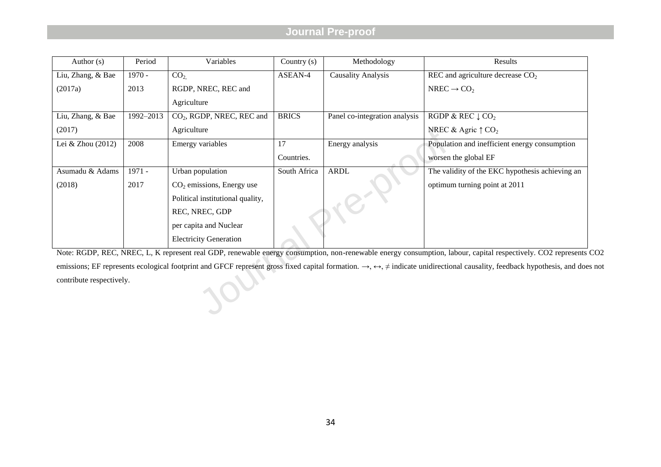| Author $(s)$                                                                                                                                                   | Period    | Variables                             | Country (s)  | Methodology                   | Results                                                                                                                                                                                                     |  |  |  |
|----------------------------------------------------------------------------------------------------------------------------------------------------------------|-----------|---------------------------------------|--------------|-------------------------------|-------------------------------------------------------------------------------------------------------------------------------------------------------------------------------------------------------------|--|--|--|
| Liu, Zhang, & Bae                                                                                                                                              | $1970 -$  | CO <sub>2</sub>                       | ASEAN-4      | <b>Causality Analysis</b>     | REC and agriculture decrease $CO2$                                                                                                                                                                          |  |  |  |
| (2017a)                                                                                                                                                        | 2013      | RGDP, NREC, REC and                   |              |                               | NREC $\rightarrow$ CO <sub>2</sub>                                                                                                                                                                          |  |  |  |
|                                                                                                                                                                |           | Agriculture                           |              |                               |                                                                                                                                                                                                             |  |  |  |
| Liu, Zhang, & Bae                                                                                                                                              | 1992-2013 | CO <sub>2</sub> , RGDP, NREC, REC and | <b>BRICS</b> | Panel co-integration analysis | RGDP & REC $\downarrow$ CO <sub>2</sub>                                                                                                                                                                     |  |  |  |
| (2017)                                                                                                                                                         |           | Agriculture                           |              |                               | NREC & Agric $\uparrow$ CO <sub>2</sub>                                                                                                                                                                     |  |  |  |
| Lei & Zhou (2012)                                                                                                                                              | 2008      | <b>Emergy variables</b>               | 17           | Energy analysis               | Population and inefficient energy consumption                                                                                                                                                               |  |  |  |
|                                                                                                                                                                |           |                                       | Countries.   |                               | worsen the global EF                                                                                                                                                                                        |  |  |  |
| Asumadu & Adams                                                                                                                                                | 1971 -    | Urban population                      | South Africa | <b>ARDL</b>                   | The validity of the EKC hypothesis achieving an                                                                                                                                                             |  |  |  |
| (2018)                                                                                                                                                         | 2017      | $CO2$ emissions, Energy use           |              |                               | optimum turning point at 2011                                                                                                                                                                               |  |  |  |
|                                                                                                                                                                |           | Political institutional quality,      |              |                               |                                                                                                                                                                                                             |  |  |  |
|                                                                                                                                                                |           | REC, NREC, GDP                        |              |                               |                                                                                                                                                                                                             |  |  |  |
|                                                                                                                                                                |           | per capita and Nuclear                |              |                               |                                                                                                                                                                                                             |  |  |  |
|                                                                                                                                                                |           | <b>Electricity Generation</b>         |              |                               |                                                                                                                                                                                                             |  |  |  |
| Note: RGDP, REC, NREC, L, K represent real GDP, renewable energy consumption, non-renewable energy consumption, labour, capital respectively. CO2 represents ( |           |                                       |              |                               |                                                                                                                                                                                                             |  |  |  |
|                                                                                                                                                                |           |                                       |              |                               | emissions; EF represents ecological footprint and GFCF represent gross fixed capital formation. $\rightarrow$ , $\leftrightarrow$ , $\neq$ indicate unidirectional causality, feedback hypothesis, and does |  |  |  |
| contribute respectively.                                                                                                                                       |           |                                       |              |                               |                                                                                                                                                                                                             |  |  |  |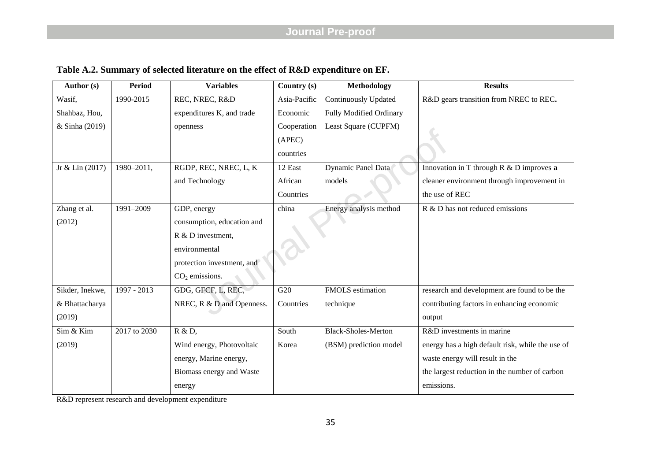| <b>Author</b> (s) | <b>Period</b>   | <b>Variables</b>           | Country (s)  | <b>Methodology</b>          | <b>Results</b>                                   |
|-------------------|-----------------|----------------------------|--------------|-----------------------------|--------------------------------------------------|
| Wasif,            | 1990-2015       | REC, NREC, R&D             | Asia-Pacific | <b>Continuously Updated</b> | R&D gears transition from NREC to REC.           |
| Shahbaz, Hou,     |                 | expenditures K, and trade  | Economic     | Fully Modified Ordinary     |                                                  |
| & Sinha (2019)    |                 | openness                   | Cooperation  | Least Square (CUPFM)        |                                                  |
|                   |                 |                            | (APEC)       |                             |                                                  |
|                   |                 |                            | countries    |                             |                                                  |
| Jr & Lin $(2017)$ | $1980 - 2011$ , | RGDP, REC, NREC, L, K      | 12 East      | Dynamic Panel Data          | Innovation in T through $R & D$ improves a       |
|                   |                 | and Technology             | African      | models                      | cleaner environment through improvement in       |
|                   |                 |                            | Countries    |                             | the use of REC                                   |
| Zhang et al.      | 1991-2009       | GDP, energy                | china        | Energy analysis method      | R & D has not reduced emissions                  |
| (2012)            |                 | consumption, education and |              |                             |                                                  |
|                   |                 | R & D investment,          |              |                             |                                                  |
|                   |                 | environmental              |              |                             |                                                  |
|                   |                 | protection investment, and |              |                             |                                                  |
|                   |                 | $CO2$ emissions.           |              |                             |                                                  |
| Sikder, Inekwe,   | 1997 - 2013     | GDG, GFCF, L, REC,         | G20          | FMOLS estimation            | research and development are found to be the     |
| & Bhattacharya    |                 | NREC, R & D and Openness.  | Countries    | technique                   | contributing factors in enhancing economic       |
| (2019)            |                 |                            |              |                             | output                                           |
| Sim & Kim         | 2017 to 2030    | R & D,                     | South        | <b>Black-Sholes-Merton</b>  | R&D investments in marine                        |
| (2019)            |                 | Wind energy, Photovoltaic  | Korea        | (BSM) prediction model      | energy has a high default risk, while the use of |
|                   |                 | energy, Marine energy,     |              |                             | waste energy will result in the                  |
|                   |                 | Biomass energy and Waste   |              |                             | the largest reduction in the number of carbon    |

**Table A.2. Summary of selected literature on the effect of R&D expenditure on EF.**

R&D represent research and development expenditure

energy

emissions.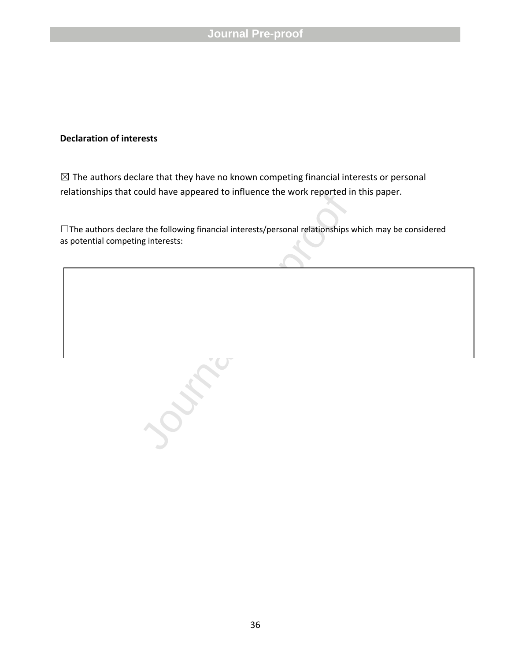## **Declaration of interests**

 $\boxtimes$  The authors declare that they have no known competing financial interests or personal relationships that could have appeared to influence the work reported in this paper.

ouid nave appeared to influence the work reported in<br>the the following financial interests/personal relationships v<br>rightnessts: ☐The authors declare the following financial interests/personal relationships which may be considered as potential competing interests: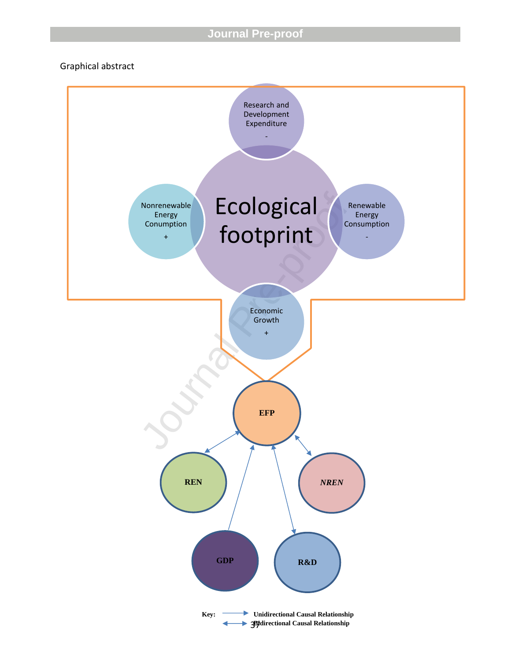Graphical abstract